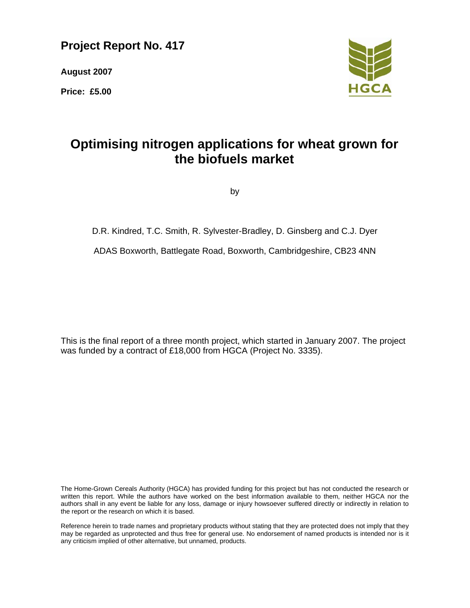# **Project Report No. 417**

**August 2007** 

**Price: £5.00** 



# **Optimising nitrogen applications for wheat grown for the biofuels market**

by

# D.R. Kindred, T.C. Smith, R. Sylvester-Bradley, D. Ginsberg and C.J. Dyer

ADAS Boxworth, Battlegate Road, Boxworth, Cambridgeshire, CB23 4NN

This is the final report of a three month project, which started in January 2007. The project was funded by a contract of £18,000 from HGCA (Project No. 3335).

The Home-Grown Cereals Authority (HGCA) has provided funding for this project but has not conducted the research or written this report. While the authors have worked on the best information available to them, neither HGCA nor the authors shall in any event be liable for any loss, damage or injury howsoever suffered directly or indirectly in relation to the report or the research on which it is based.

Reference herein to trade names and proprietary products without stating that they are protected does not imply that they may be regarded as unprotected and thus free for general use. No endorsement of named products is intended nor is it any criticism implied of other alternative, but unnamed, products.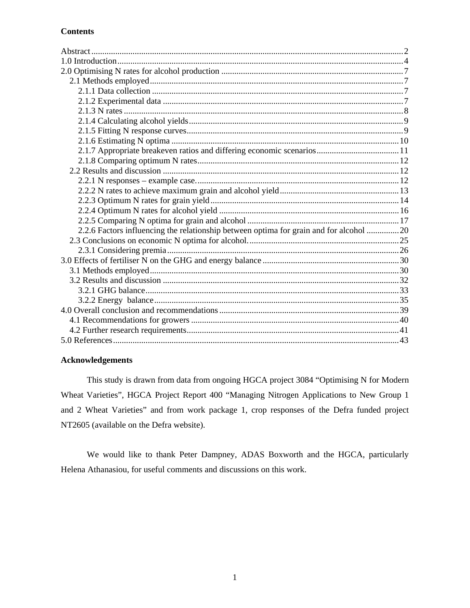# **Contents**

| 2.1.7 Appropriate breakeven ratios and differing economic scenarios11                  |  |
|----------------------------------------------------------------------------------------|--|
|                                                                                        |  |
|                                                                                        |  |
|                                                                                        |  |
|                                                                                        |  |
|                                                                                        |  |
|                                                                                        |  |
|                                                                                        |  |
| 2.2.6 Factors influencing the relationship between optima for grain and for alcohol 20 |  |
|                                                                                        |  |
|                                                                                        |  |
|                                                                                        |  |
|                                                                                        |  |
|                                                                                        |  |
|                                                                                        |  |
|                                                                                        |  |
|                                                                                        |  |
|                                                                                        |  |
|                                                                                        |  |
|                                                                                        |  |

## **Acknowledgements**

This study is drawn from data from ongoing HGCA project 3084 "Optimising N for Modern Wheat Varieties", HGCA Project Report 400 "Managing Nitrogen Applications to New Group 1 and 2 Wheat Varieties" and from work package 1, crop responses of the Defra funded project NT2605 (available on the Defra website).

We would like to thank Peter Dampney, ADAS Boxworth and the HGCA, particularly Helena Athanasiou, for useful comments and discussions on this work.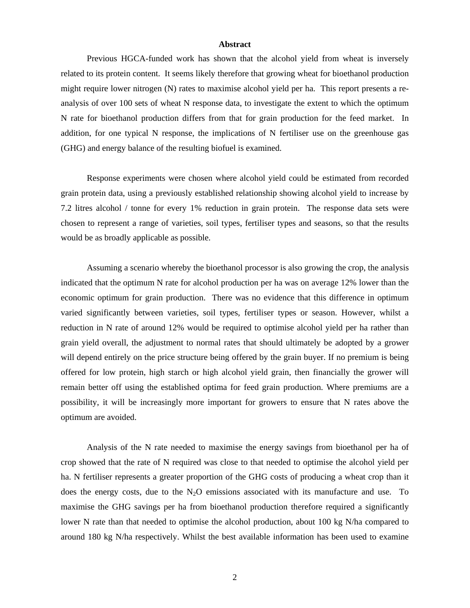#### **Abstract**

Previous HGCA-funded work has shown that the alcohol yield from wheat is inversely related to its protein content. It seems likely therefore that growing wheat for bioethanol production might require lower nitrogen (N) rates to maximise alcohol yield per ha. This report presents a reanalysis of over 100 sets of wheat N response data, to investigate the extent to which the optimum N rate for bioethanol production differs from that for grain production for the feed market. In addition, for one typical N response, the implications of N fertiliser use on the greenhouse gas (GHG) and energy balance of the resulting biofuel is examined.

Response experiments were chosen where alcohol yield could be estimated from recorded grain protein data, using a previously established relationship showing alcohol yield to increase by 7.2 litres alcohol / tonne for every 1% reduction in grain protein. The response data sets were chosen to represent a range of varieties, soil types, fertiliser types and seasons, so that the results would be as broadly applicable as possible.

Assuming a scenario whereby the bioethanol processor is also growing the crop, the analysis indicated that the optimum N rate for alcohol production per ha was on average 12% lower than the economic optimum for grain production. There was no evidence that this difference in optimum varied significantly between varieties, soil types, fertiliser types or season. However, whilst a reduction in N rate of around 12% would be required to optimise alcohol yield per ha rather than grain yield overall, the adjustment to normal rates that should ultimately be adopted by a grower will depend entirely on the price structure being offered by the grain buyer. If no premium is being offered for low protein, high starch or high alcohol yield grain, then financially the grower will remain better off using the established optima for feed grain production. Where premiums are a possibility, it will be increasingly more important for growers to ensure that N rates above the optimum are avoided.

Analysis of the N rate needed to maximise the energy savings from bioethanol per ha of crop showed that the rate of N required was close to that needed to optimise the alcohol yield per ha. N fertiliser represents a greater proportion of the GHG costs of producing a wheat crop than it does the energy costs, due to the  $N_2O$  emissions associated with its manufacture and use. To maximise the GHG savings per ha from bioethanol production therefore required a significantly lower N rate than that needed to optimise the alcohol production, about 100 kg N/ha compared to around 180 kg N/ha respectively. Whilst the best available information has been used to examine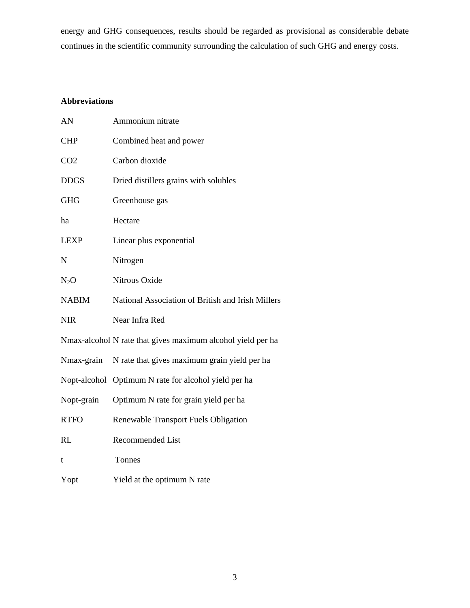energy and GHG consequences, results should be regarded as provisional as considerable debate continues in the scientific community surrounding the calculation of such GHG and energy costs.

# **Abbreviations**

| AN              | Ammonium nitrate                                            |
|-----------------|-------------------------------------------------------------|
| <b>CHP</b>      | Combined heat and power                                     |
| CO <sub>2</sub> | Carbon dioxide                                              |
| <b>DDGS</b>     | Dried distillers grains with solubles                       |
| <b>GHG</b>      | Greenhouse gas                                              |
| ha              | Hectare                                                     |
| LEXP            | Linear plus exponential                                     |
| N               | Nitrogen                                                    |
| $\rm N_2O$      | Nitrous Oxide                                               |
| <b>NABIM</b>    | National Association of British and Irish Millers           |
| NIR             | Near Infra Red                                              |
|                 | Nmax-alcohol N rate that gives maximum alcohol yield per ha |
| Nmax-grain      | N rate that gives maximum grain yield per ha                |
|                 | Nopt-alcohol Optimum N rate for alcohol yield per ha        |
| Nopt-grain      | Optimum N rate for grain yield per ha                       |
| <b>RTFO</b>     | Renewable Transport Fuels Obligation                        |
| RL              | <b>Recommended List</b>                                     |
| t               | Tonnes                                                      |
| Yopt            | Yield at the optimum N rate                                 |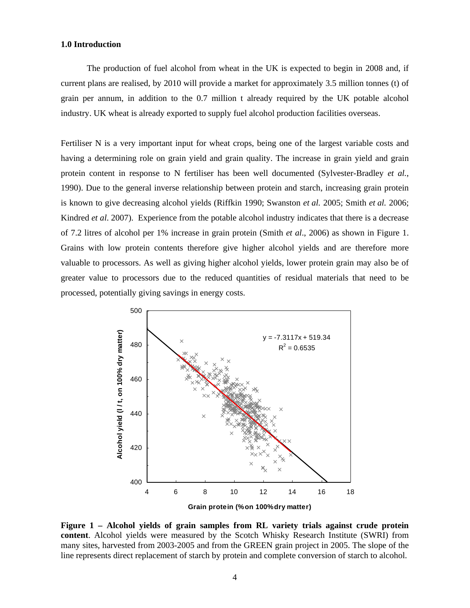## **1.0 Introduction**

The production of fuel alcohol from wheat in the UK is expected to begin in 2008 and, if current plans are realised, by 2010 will provide a market for approximately 3.5 million tonnes (t) of grain per annum, in addition to the 0.7 million t already required by the UK potable alcohol industry. UK wheat is already exported to supply fuel alcohol production facilities overseas.

Fertiliser N is a very important input for wheat crops, being one of the largest variable costs and having a determining role on grain yield and grain quality. The increase in grain yield and grain protein content in response to N fertiliser has been well documented (Sylvester-Bradley *et al.*, 1990). Due to the general inverse relationship between protein and starch, increasing grain protein is known to give decreasing alcohol yields (Riffkin 1990; Swanston *et al.* 2005; Smith *et al.* 2006; Kindred *et al*. 2007). Experience from the potable alcohol industry indicates that there is a decrease of 7.2 litres of alcohol per 1% increase in grain protein (Smith *et al*., 2006) as shown in Figure 1. Grains with low protein contents therefore give higher alcohol yields and are therefore more valuable to processors. As well as giving higher alcohol yields, lower protein grain may also be of greater value to processors due to the reduced quantities of residual materials that need to be processed, potentially giving savings in energy costs.



**Figure 1 – Alcohol yields of grain samples from RL variety trials against crude protein content**. Alcohol yields were measured by the Scotch Whisky Research Institute (SWRI) from many sites, harvested from 2003-2005 and from the GREEN grain project in 2005. The slope of the line represents direct replacement of starch by protein and complete conversion of starch to alcohol.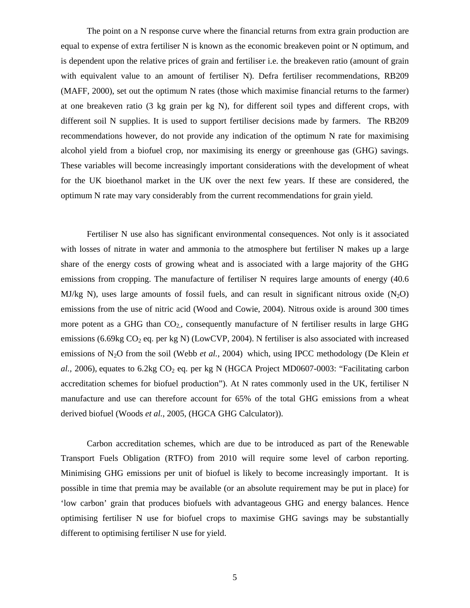The point on a N response curve where the financial returns from extra grain production are equal to expense of extra fertiliser N is known as the economic breakeven point or N optimum, and is dependent upon the relative prices of grain and fertiliser i.e. the breakeven ratio (amount of grain with equivalent value to an amount of fertiliser N). Defra fertiliser recommendations, RB209 (MAFF, 2000), set out the optimum N rates (those which maximise financial returns to the farmer) at one breakeven ratio (3 kg grain per kg N), for different soil types and different crops, with different soil N supplies. It is used to support fertiliser decisions made by farmers. The RB209 recommendations however, do not provide any indication of the optimum N rate for maximising alcohol yield from a biofuel crop, nor maximising its energy or greenhouse gas (GHG) savings. These variables will become increasingly important considerations with the development of wheat for the UK bioethanol market in the UK over the next few years. If these are considered, the optimum N rate may vary considerably from the current recommendations for grain yield.

Fertiliser N use also has significant environmental consequences. Not only is it associated with losses of nitrate in water and ammonia to the atmosphere but fertiliser N makes up a large share of the energy costs of growing wheat and is associated with a large majority of the GHG emissions from cropping. The manufacture of fertiliser N requires large amounts of energy (40.6 MJ/kg N), uses large amounts of fossil fuels, and can result in significant nitrous oxide  $(N_2O)$ emissions from the use of nitric acid (Wood and Cowie, 2004). Nitrous oxide is around 300 times more potent as a GHG than  $CO<sub>2</sub>$ , consequently manufacture of N fertiliser results in large GHG emissions (6.69kg  $CO<sub>2</sub>$  eq. per kg N) (LowCVP, 2004). N fertiliser is also associated with increased emissions of N2O from the soil (Webb *et al.,* 2004) which, using IPCC methodology (De Klein *et al.,* 2006), equates to 6.2kg  $CO<sub>2</sub>$  eq. per kg N (HGCA Project MD0607-0003: "Facilitating carbon accreditation schemes for biofuel production"). At N rates commonly used in the UK, fertiliser N manufacture and use can therefore account for 65% of the total GHG emissions from a wheat derived biofuel (Woods *et al.*, 2005, (HGCA GHG Calculator)).

Carbon accreditation schemes, which are due to be introduced as part of the Renewable Transport Fuels Obligation (RTFO) from 2010 will require some level of carbon reporting. Minimising GHG emissions per unit of biofuel is likely to become increasingly important. It is possible in time that premia may be available (or an absolute requirement may be put in place) for 'low carbon' grain that produces biofuels with advantageous GHG and energy balances. Hence optimising fertiliser N use for biofuel crops to maximise GHG savings may be substantially different to optimising fertiliser N use for yield.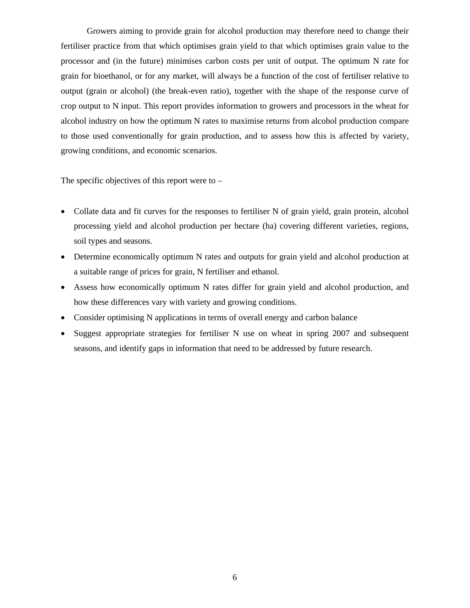Growers aiming to provide grain for alcohol production may therefore need to change their fertiliser practice from that which optimises grain yield to that which optimises grain value to the processor and (in the future) minimises carbon costs per unit of output. The optimum N rate for grain for bioethanol, or for any market, will always be a function of the cost of fertiliser relative to output (grain or alcohol) (the break-even ratio), together with the shape of the response curve of crop output to N input. This report provides information to growers and processors in the wheat for alcohol industry on how the optimum N rates to maximise returns from alcohol production compare to those used conventionally for grain production, and to assess how this is affected by variety, growing conditions, and economic scenarios.

The specific objectives of this report were to  $-$ 

- Collate data and fit curves for the responses to fertiliser N of grain yield, grain protein, alcohol processing yield and alcohol production per hectare (ha) covering different varieties, regions, soil types and seasons.
- Determine economically optimum N rates and outputs for grain yield and alcohol production at a suitable range of prices for grain, N fertiliser and ethanol.
- Assess how economically optimum N rates differ for grain yield and alcohol production, and how these differences vary with variety and growing conditions.
- Consider optimising N applications in terms of overall energy and carbon balance
- Suggest appropriate strategies for fertiliser N use on wheat in spring 2007 and subsequent seasons, and identify gaps in information that need to be addressed by future research.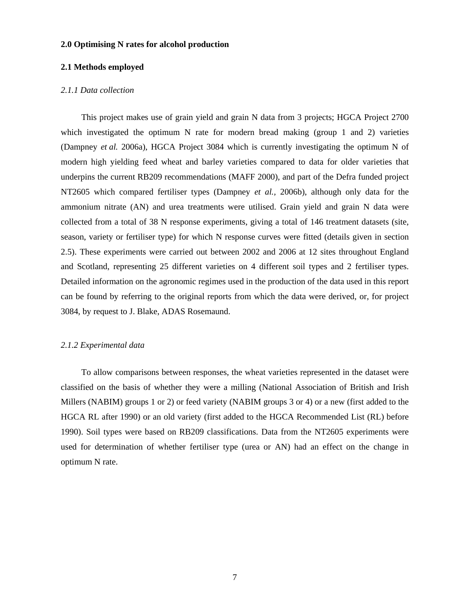#### **2.0 Optimising N rates for alcohol production**

## **2.1 Methods employed**

## *2.1.1 Data collection*

This project makes use of grain yield and grain N data from 3 projects; HGCA Project 2700 which investigated the optimum N rate for modern bread making (group 1 and 2) varieties (Dampney *et al.* 2006a), HGCA Project 3084 which is currently investigating the optimum N of modern high yielding feed wheat and barley varieties compared to data for older varieties that underpins the current RB209 recommendations (MAFF 2000), and part of the Defra funded project NT2605 which compared fertiliser types (Dampney *et al.,* 2006b), although only data for the ammonium nitrate (AN) and urea treatments were utilised. Grain yield and grain N data were collected from a total of 38 N response experiments, giving a total of 146 treatment datasets (site, season, variety or fertiliser type) for which N response curves were fitted (details given in section 2.5). These experiments were carried out between 2002 and 2006 at 12 sites throughout England and Scotland, representing 25 different varieties on 4 different soil types and 2 fertiliser types. Detailed information on the agronomic regimes used in the production of the data used in this report can be found by referring to the original reports from which the data were derived, or, for project 3084, by request to J. Blake, ADAS Rosemaund.

#### *2.1.2 Experimental data*

To allow comparisons between responses, the wheat varieties represented in the dataset were classified on the basis of whether they were a milling (National Association of British and Irish Millers (NABIM) groups 1 or 2) or feed variety (NABIM groups 3 or 4) or a new (first added to the HGCA RL after 1990) or an old variety (first added to the HGCA Recommended List (RL) before 1990). Soil types were based on RB209 classifications. Data from the NT2605 experiments were used for determination of whether fertiliser type (urea or AN) had an effect on the change in optimum N rate.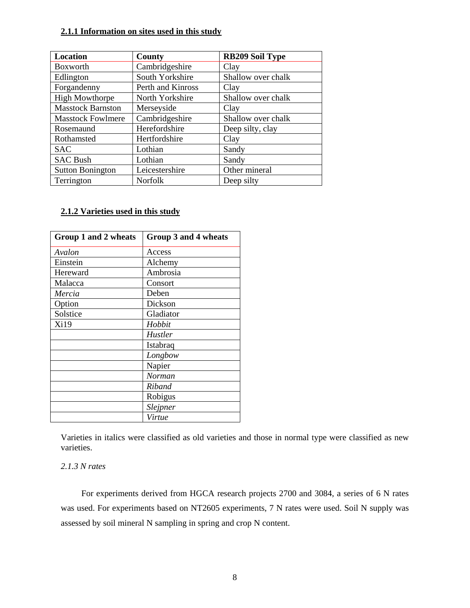# **2.1.1 Information on sites used in this study**

| Location                 | County            | <b>RB209 Soil Type</b> |
|--------------------------|-------------------|------------------------|
| Boxworth                 | Cambridgeshire    | Clay                   |
| Edlington                | South Yorkshire   | Shallow over chalk     |
| Forgandenny              | Perth and Kinross | Clay                   |
| <b>High Mowthorpe</b>    | North Yorkshire   | Shallow over chalk     |
| <b>Masstock Barnston</b> | Merseyside        | Clay                   |
| <b>Masstock Fowlmere</b> | Cambridgeshire    | Shallow over chalk     |
| Rosemaund                | Herefordshire     | Deep silty, clay       |
| Rothamsted               | Hertfordshire     | Clay                   |
| <b>SAC</b>               | Lothian           | Sandy                  |
| <b>SAC Bush</b>          | Lothian           | Sandy                  |
| <b>Sutton Bonington</b>  | Leicestershire    | Other mineral          |
| Terrington               | <b>Norfolk</b>    | Deep silty             |

# **2.1.2 Varieties used in this study**

| Group 1 and 2 wheats | Group 3 and 4 wheats |
|----------------------|----------------------|
| Avalon               | Access               |
| Einstein             | Alchemy              |
| Hereward             | Ambrosia             |
| Malacca              | Consort              |
| Mercia               | Deben                |
| Option               | Dickson              |
| Solstice             | Gladiator            |
| Xi19                 | Hobbit               |
|                      | <b>Hustler</b>       |
|                      | Istabraq             |
|                      | Longbow              |
|                      | Napier               |
|                      | Norman               |
|                      | Riband               |
|                      | Robigus              |
|                      | <i>Slejpner</i>      |
|                      | Virtue               |

Varieties in italics were classified as old varieties and those in normal type were classified as new varieties.

## *2.1.3 N rates*

For experiments derived from HGCA research projects 2700 and 3084, a series of 6 N rates was used. For experiments based on NT2605 experiments, 7 N rates were used. Soil N supply was assessed by soil mineral N sampling in spring and crop N content.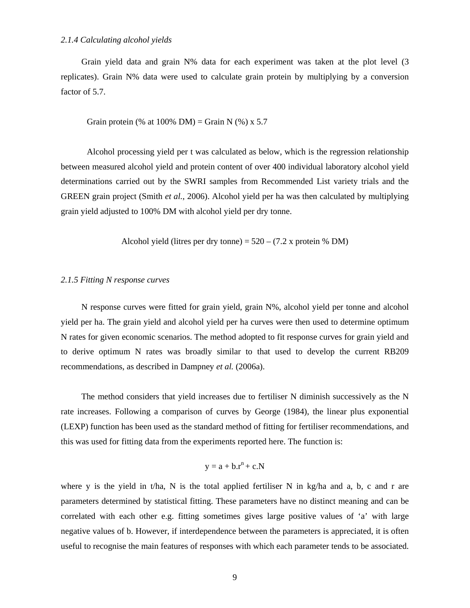## *2.1.4 Calculating alcohol yields*

Grain yield data and grain N% data for each experiment was taken at the plot level (3 replicates). Grain N% data were used to calculate grain protein by multiplying by a conversion factor of 5.7.

Grain protein (% at  $100\%$  DM) = Grain N (%) x 5.7

Alcohol processing yield per t was calculated as below, which is the regression relationship between measured alcohol yield and protein content of over 400 individual laboratory alcohol yield determinations carried out by the SWRI samples from Recommended List variety trials and the GREEN grain project (Smith *et al.*, 2006). Alcohol yield per ha was then calculated by multiplying grain yield adjusted to 100% DM with alcohol yield per dry tonne.

Alcohol yield (litres per dry tonne) =  $520 - (7.2 \text{ x protein } %$  DM)

## *2.1.5 Fitting N response curves*

N response curves were fitted for grain yield, grain N%, alcohol yield per tonne and alcohol yield per ha. The grain yield and alcohol yield per ha curves were then used to determine optimum N rates for given economic scenarios. The method adopted to fit response curves for grain yield and to derive optimum N rates was broadly similar to that used to develop the current RB209 recommendations, as described in Dampney *et al.* (2006a).

The method considers that yield increases due to fertiliser N diminish successively as the N rate increases. Following a comparison of curves by George (1984), the linear plus exponential (LEXP) function has been used as the standard method of fitting for fertiliser recommendations, and this was used for fitting data from the experiments reported here. The function is:

$$
y = a + b.r^n + c.N
$$

where y is the yield in t/ha, N is the total applied fertiliser N in kg/ha and a, b, c and r are parameters determined by statistical fitting. These parameters have no distinct meaning and can be correlated with each other e.g. fitting sometimes gives large positive values of 'a' with large negative values of b. However, if interdependence between the parameters is appreciated, it is often useful to recognise the main features of responses with which each parameter tends to be associated.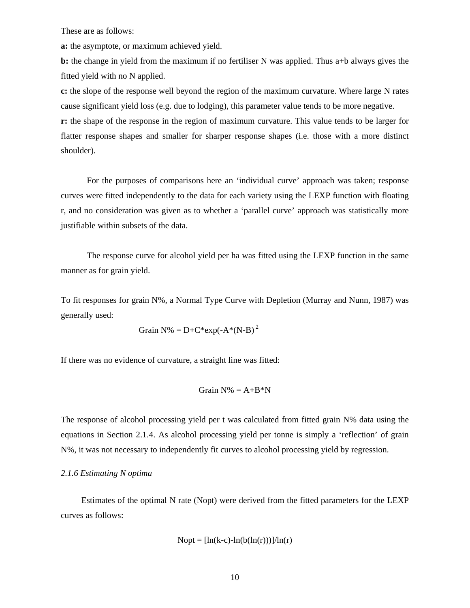These are as follows:

**a:** the asymptote, or maximum achieved yield.

**b:** the change in yield from the maximum if no fertiliser N was applied. Thus a+b always gives the fitted yield with no N applied.

**c:** the slope of the response well beyond the region of the maximum curvature. Where large N rates cause significant yield loss (e.g. due to lodging), this parameter value tends to be more negative. **r:** the shape of the response in the region of maximum curvature. This value tends to be larger for flatter response shapes and smaller for sharper response shapes (i.e. those with a more distinct shoulder).

For the purposes of comparisons here an 'individual curve' approach was taken; response curves were fitted independently to the data for each variety using the LEXP function with floating r, and no consideration was given as to whether a 'parallel curve' approach was statistically more justifiable within subsets of the data.

The response curve for alcohol yield per ha was fitted using the LEXP function in the same manner as for grain yield.

To fit responses for grain N%, a Normal Type Curve with Depletion (Murray and Nunn, 1987) was generally used:

$$
Train N\% = D + C*exp(-A* (N-B)^2)
$$

If there was no evidence of curvature, a straight line was fitted:

$$
Grain N\% = A + B^*N
$$

The response of alcohol processing yield per t was calculated from fitted grain N% data using the equations in Section 2.1.4. As alcohol processing yield per tonne is simply a 'reflection' of grain N%, it was not necessary to independently fit curves to alcohol processing yield by regression.

## *2.1.6 Estimating N optima*

Estimates of the optimal N rate (Nopt) were derived from the fitted parameters for the LEXP curves as follows:

$$
Nopt = [ln(k-c)-ln(b(ln(r)))]/ln(r)
$$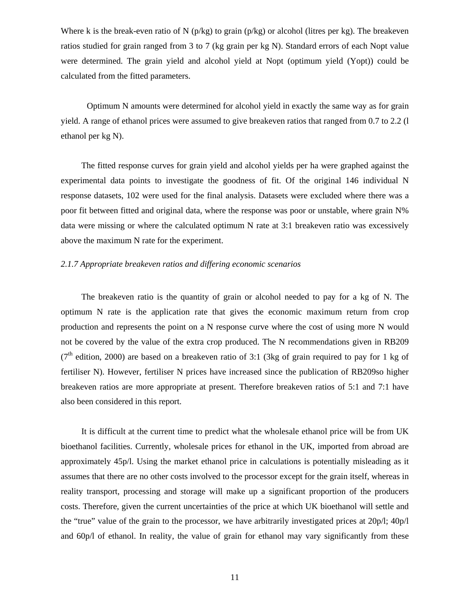Where k is the break-even ratio of N ( $p/kg$ ) to grain ( $p/kg$ ) or alcohol (litres per kg). The breakeven ratios studied for grain ranged from 3 to 7 (kg grain per kg N). Standard errors of each Nopt value were determined. The grain yield and alcohol yield at Nopt (optimum yield (Yopt)) could be calculated from the fitted parameters.

Optimum N amounts were determined for alcohol yield in exactly the same way as for grain yield. A range of ethanol prices were assumed to give breakeven ratios that ranged from 0.7 to 2.2 (l ethanol per kg N).

The fitted response curves for grain yield and alcohol yields per ha were graphed against the experimental data points to investigate the goodness of fit. Of the original 146 individual N response datasets, 102 were used for the final analysis. Datasets were excluded where there was a poor fit between fitted and original data, where the response was poor or unstable, where grain N% data were missing or where the calculated optimum N rate at 3:1 breakeven ratio was excessively above the maximum N rate for the experiment.

## *2.1.7 Appropriate breakeven ratios and differing economic scenarios*

The breakeven ratio is the quantity of grain or alcohol needed to pay for a kg of N. The optimum N rate is the application rate that gives the economic maximum return from crop production and represents the point on a N response curve where the cost of using more N would not be covered by the value of the extra crop produced. The N recommendations given in RB209 ( $7<sup>th</sup>$  edition, 2000) are based on a breakeven ratio of 3:1 (3kg of grain required to pay for 1 kg of fertiliser N). However, fertiliser N prices have increased since the publication of RB209so higher breakeven ratios are more appropriate at present. Therefore breakeven ratios of 5:1 and 7:1 have also been considered in this report.

It is difficult at the current time to predict what the wholesale ethanol price will be from UK bioethanol facilities. Currently, wholesale prices for ethanol in the UK, imported from abroad are approximately 45p/l. Using the market ethanol price in calculations is potentially misleading as it assumes that there are no other costs involved to the processor except for the grain itself, whereas in reality transport, processing and storage will make up a significant proportion of the producers costs. Therefore, given the current uncertainties of the price at which UK bioethanol will settle and the "true" value of the grain to the processor, we have arbitrarily investigated prices at 20p/l; 40p/l and 60p/l of ethanol. In reality, the value of grain for ethanol may vary significantly from these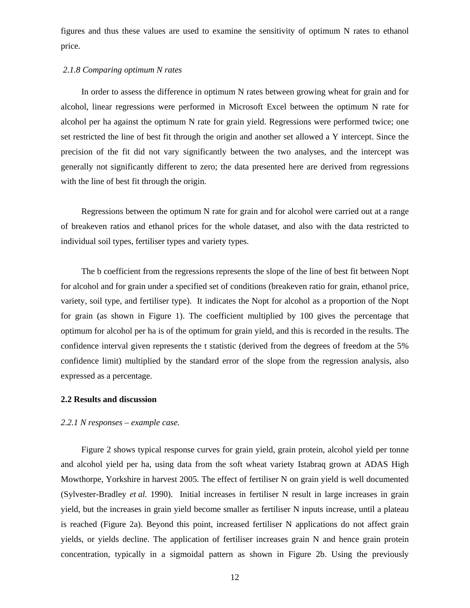figures and thus these values are used to examine the sensitivity of optimum N rates to ethanol price.

## *2.1.8 Comparing optimum N rates*

In order to assess the difference in optimum N rates between growing wheat for grain and for alcohol, linear regressions were performed in Microsoft Excel between the optimum N rate for alcohol per ha against the optimum N rate for grain yield. Regressions were performed twice; one set restricted the line of best fit through the origin and another set allowed a Y intercept. Since the precision of the fit did not vary significantly between the two analyses, and the intercept was generally not significantly different to zero; the data presented here are derived from regressions with the line of best fit through the origin.

Regressions between the optimum N rate for grain and for alcohol were carried out at a range of breakeven ratios and ethanol prices for the whole dataset, and also with the data restricted to individual soil types, fertiliser types and variety types.

The b coefficient from the regressions represents the slope of the line of best fit between Nopt for alcohol and for grain under a specified set of conditions (breakeven ratio for grain, ethanol price, variety, soil type, and fertiliser type). It indicates the Nopt for alcohol as a proportion of the Nopt for grain (as shown in Figure 1). The coefficient multiplied by 100 gives the percentage that optimum for alcohol per ha is of the optimum for grain yield, and this is recorded in the results. The confidence interval given represents the t statistic (derived from the degrees of freedom at the 5% confidence limit) multiplied by the standard error of the slope from the regression analysis, also expressed as a percentage.

## **2.2 Results and discussion**

#### *2.2.1 N responses – example case.*

Figure 2 shows typical response curves for grain yield, grain protein, alcohol yield per tonne and alcohol yield per ha, using data from the soft wheat variety Istabraq grown at ADAS High Mowthorpe, Yorkshire in harvest 2005. The effect of fertiliser N on grain yield is well documented (Sylvester-Bradley *et al.* 1990). Initial increases in fertiliser N result in large increases in grain yield, but the increases in grain yield become smaller as fertiliser N inputs increase, until a plateau is reached (Figure 2a). Beyond this point, increased fertiliser N applications do not affect grain yields, or yields decline. The application of fertiliser increases grain N and hence grain protein concentration, typically in a sigmoidal pattern as shown in Figure 2b. Using the previously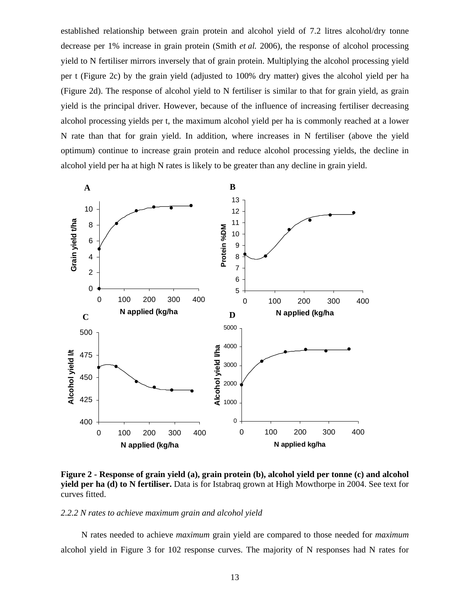established relationship between grain protein and alcohol yield of 7.2 litres alcohol/dry tonne decrease per 1% increase in grain protein (Smith *et al.* 2006), the response of alcohol processing yield to N fertiliser mirrors inversely that of grain protein. Multiplying the alcohol processing yield per t (Figure 2c) by the grain yield (adjusted to 100% dry matter) gives the alcohol yield per ha (Figure 2d). The response of alcohol yield to N fertiliser is similar to that for grain yield, as grain yield is the principal driver. However, because of the influence of increasing fertiliser decreasing alcohol processing yields per t, the maximum alcohol yield per ha is commonly reached at a lower N rate than that for grain yield. In addition, where increases in N fertiliser (above the yield optimum) continue to increase grain protein and reduce alcohol processing yields, the decline in alcohol yield per ha at high N rates is likely to be greater than any decline in grain yield.



**Figure 2 - Response of grain yield (a), grain protein (b), alcohol yield per tonne (c) and alcohol yield per ha (d) to N fertiliser.** Data is for Istabraq grown at High Mowthorpe in 2004. See text for curves fitted.

## *2.2.2 N rates to achieve maximum grain and alcohol yield*

N rates needed to achieve *maximum* grain yield are compared to those needed for *maximum*  alcohol yield in Figure 3 for 102 response curves. The majority of N responses had N rates for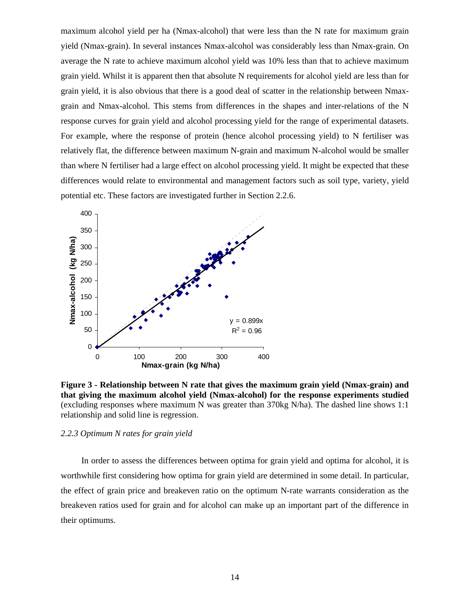maximum alcohol yield per ha (Nmax-alcohol) that were less than the N rate for maximum grain yield (Nmax-grain). In several instances Nmax-alcohol was considerably less than Nmax-grain. On average the N rate to achieve maximum alcohol yield was 10% less than that to achieve maximum grain yield. Whilst it is apparent then that absolute N requirements for alcohol yield are less than for grain yield, it is also obvious that there is a good deal of scatter in the relationship between Nmaxgrain and Nmax-alcohol. This stems from differences in the shapes and inter-relations of the N response curves for grain yield and alcohol processing yield for the range of experimental datasets. For example, where the response of protein (hence alcohol processing yield) to N fertiliser was relatively flat, the difference between maximum N-grain and maximum N-alcohol would be smaller than where N fertiliser had a large effect on alcohol processing yield. It might be expected that these differences would relate to environmental and management factors such as soil type, variety, yield potential etc. These factors are investigated further in Section 2.2.6.



**Figure 3 - Relationship between N rate that gives the maximum grain yield (Nmax-grain) and that giving the maximum alcohol yield (Nmax-alcohol) for the response experiments studied** (excluding responses where maximum N was greater than 370kg N/ha). The dashed line shows 1:1 relationship and solid line is regression.

### *2.2.3 Optimum N rates for grain yield*

In order to assess the differences between optima for grain yield and optima for alcohol, it is worthwhile first considering how optima for grain yield are determined in some detail. In particular, the effect of grain price and breakeven ratio on the optimum N-rate warrants consideration as the breakeven ratios used for grain and for alcohol can make up an important part of the difference in their optimums.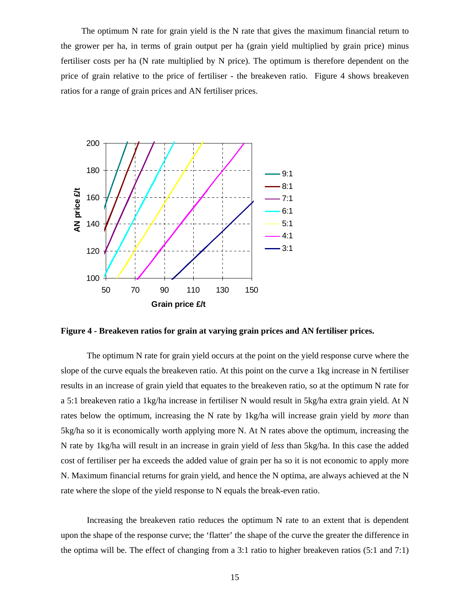The optimum N rate for grain yield is the N rate that gives the maximum financial return to the grower per ha, in terms of grain output per ha (grain yield multiplied by grain price) minus fertiliser costs per ha (N rate multiplied by N price). The optimum is therefore dependent on the price of grain relative to the price of fertiliser - the breakeven ratio. Figure 4 shows breakeven ratios for a range of grain prices and AN fertiliser prices.



**Figure 4 - Breakeven ratios for grain at varying grain prices and AN fertiliser prices.** 

The optimum N rate for grain yield occurs at the point on the yield response curve where the slope of the curve equals the breakeven ratio. At this point on the curve a 1kg increase in N fertiliser results in an increase of grain yield that equates to the breakeven ratio, so at the optimum N rate for a 5:1 breakeven ratio a 1kg/ha increase in fertiliser N would result in 5kg/ha extra grain yield. At N rates below the optimum, increasing the N rate by 1kg/ha will increase grain yield by *more* than 5kg/ha so it is economically worth applying more N. At N rates above the optimum, increasing the N rate by 1kg/ha will result in an increase in grain yield of *less* than 5kg/ha. In this case the added cost of fertiliser per ha exceeds the added value of grain per ha so it is not economic to apply more N. Maximum financial returns for grain yield, and hence the N optima, are always achieved at the N rate where the slope of the yield response to N equals the break-even ratio.

Increasing the breakeven ratio reduces the optimum N rate to an extent that is dependent upon the shape of the response curve; the 'flatter' the shape of the curve the greater the difference in the optima will be. The effect of changing from a 3:1 ratio to higher breakeven ratios (5:1 and 7:1)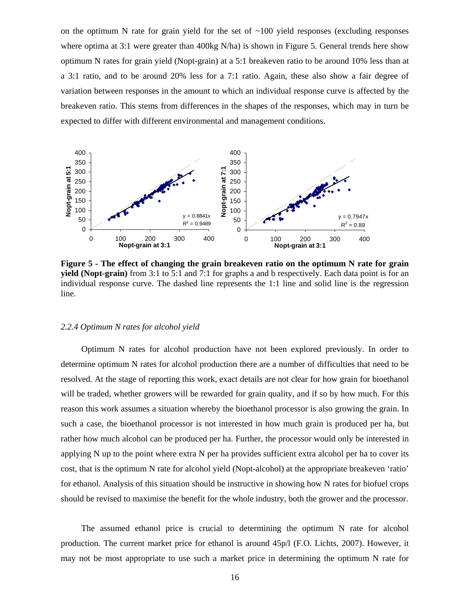on the optimum N rate for grain yield for the set of  $\sim$ 100 yield responses (excluding responses where optima at 3:1 were greater than 400kg N/ha) is shown in Figure 5. General trends here show optimum N rates for grain yield (Nopt-grain) at a 5:1 breakeven ratio to be around 10% less than at a 3:1 ratio, and to be around 20% less for a 7:1 ratio. Again, these also show a fair degree of variation between responses in the amount to which an individual response curve is affected by the breakeven ratio. This stems from differences in the shapes of the responses, which may in turn be expected to differ with different environmental and management conditions.



**Figure 5 - The effect of changing the grain breakeven ratio on the optimum N rate for grain yield (Nopt-grain)** from 3:1 to 5:1 and 7:1 for graphs a and b respectively. Each data point is for an individual response curve. The dashed line represents the 1:1 line and solid line is the regression line.

#### *2.2.4 Optimum N rates for alcohol yield*

Optimum N rates for alcohol production have not been explored previously. In order to determine optimum N rates for alcohol production there are a number of difficulties that need to be resolved. At the stage of reporting this work, exact details are not clear for how grain for bioethanol will be traded, whether growers will be rewarded for grain quality, and if so by how much. For this reason this work assumes a situation whereby the bioethanol processor is also growing the grain. In such a case, the bioethanol processor is not interested in how much grain is produced per ha, but rather how much alcohol can be produced per ha. Further, the processor would only be interested in applying N up to the point where extra N per ha provides sufficient extra alcohol per ha to cover its cost, that is the optimum N rate for alcohol yield (Nopt-alcohol) at the appropriate breakeven 'ratio' for ethanol. Analysis of this situation should be instructive in showing how N rates for biofuel crops should be revised to maximise the benefit for the whole industry, both the grower and the processor.

The assumed ethanol price is crucial to determining the optimum N rate for alcohol production. The current market price for ethanol is around 45p/l (F.O. Lichts, 2007). However, it may not be most appropriate to use such a market price in determining the optimum N rate for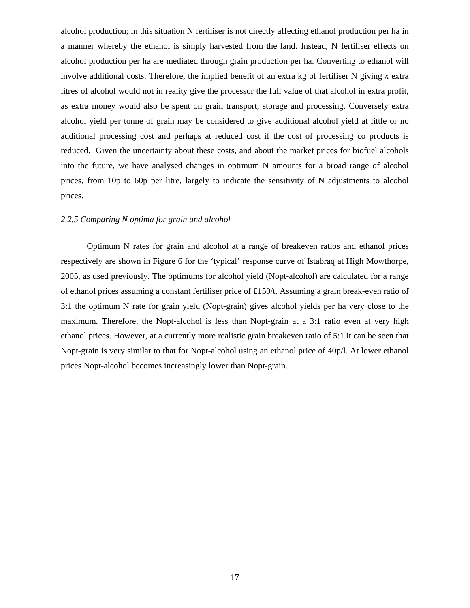alcohol production; in this situation N fertiliser is not directly affecting ethanol production per ha in a manner whereby the ethanol is simply harvested from the land. Instead, N fertiliser effects on alcohol production per ha are mediated through grain production per ha. Converting to ethanol will involve additional costs. Therefore, the implied benefit of an extra kg of fertiliser N giving *x* extra litres of alcohol would not in reality give the processor the full value of that alcohol in extra profit, as extra money would also be spent on grain transport, storage and processing. Conversely extra alcohol yield per tonne of grain may be considered to give additional alcohol yield at little or no additional processing cost and perhaps at reduced cost if the cost of processing co products is reduced. Given the uncertainty about these costs, and about the market prices for biofuel alcohols into the future, we have analysed changes in optimum N amounts for a broad range of alcohol prices, from 10p to 60p per litre, largely to indicate the sensitivity of N adjustments to alcohol prices.

## *2.2.5 Comparing N optima for grain and alcohol*

Optimum N rates for grain and alcohol at a range of breakeven ratios and ethanol prices respectively are shown in Figure 6 for the 'typical' response curve of Istabraq at High Mowthorpe, 2005, as used previously. The optimums for alcohol yield (Nopt-alcohol) are calculated for a range of ethanol prices assuming a constant fertiliser price of £150/t. Assuming a grain break-even ratio of 3:1 the optimum N rate for grain yield (Nopt-grain) gives alcohol yields per ha very close to the maximum. Therefore, the Nopt-alcohol is less than Nopt-grain at a 3:1 ratio even at very high ethanol prices. However, at a currently more realistic grain breakeven ratio of 5:1 it can be seen that Nopt-grain is very similar to that for Nopt-alcohol using an ethanol price of 40p/l. At lower ethanol prices Nopt-alcohol becomes increasingly lower than Nopt-grain.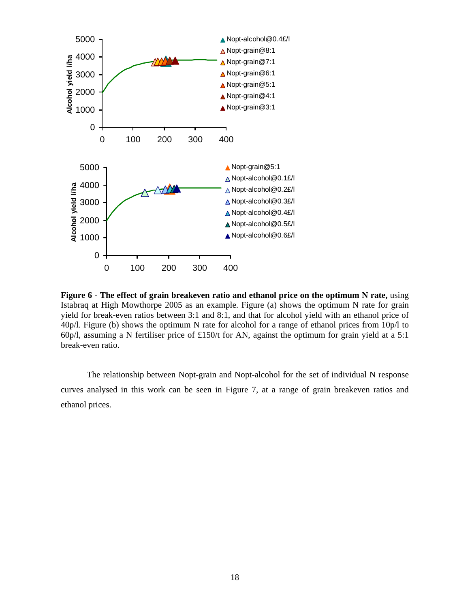

Figure 6 - The effect of grain breakeven ratio and ethanol price on the optimum N rate, using Istabraq at High Mowthorpe 2005 as an example. Figure (a) shows the optimum N rate for grain yield for break-even ratios between 3:1 and 8:1, and that for alcohol yield with an ethanol price of 40p/l. Figure (b) shows the optimum N rate for alcohol for a range of ethanol prices from 10p/l to 60p/l, assuming a N fertiliser price of £150/t for AN, against the optimum for grain yield at a 5:1 break-even ratio.

The relationship between Nopt-grain and Nopt-alcohol for the set of individual N response curves analysed in this work can be seen in Figure 7, at a range of grain breakeven ratios and ethanol prices.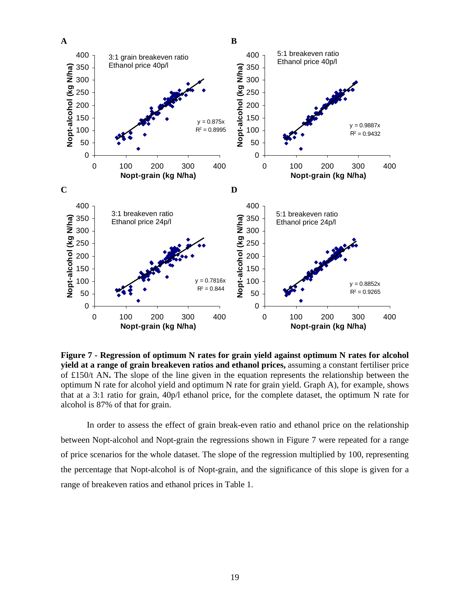

**Figure 7 - Regression of optimum N rates for grain yield against optimum N rates for alcohol yield at a range of grain breakeven ratios and ethanol prices,** assuming a constant fertiliser price of £150/t AN**.** The slope of the line given in the equation represents the relationship between the optimum N rate for alcohol yield and optimum N rate for grain yield. Graph A), for example, shows that at a 3:1 ratio for grain, 40p/l ethanol price, for the complete dataset, the optimum N rate for alcohol is 87% of that for grain.

In order to assess the effect of grain break-even ratio and ethanol price on the relationship between Nopt-alcohol and Nopt-grain the regressions shown in Figure 7 were repeated for a range of price scenarios for the whole dataset. The slope of the regression multiplied by 100, representing the percentage that Nopt-alcohol is of Nopt-grain, and the significance of this slope is given for a range of breakeven ratios and ethanol prices in Table 1.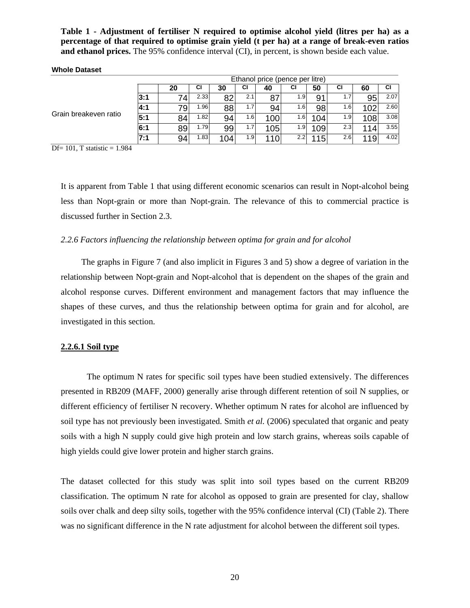**Table 1 - Adjustment of fertiliser N required to optimise alcohol yield (litres per ha) as a percentage of that required to optimise grain yield (t per ha) at a range of break-even ratios and ethanol prices.** The 95% confidence interval (CI), in percent, is shown beside each value.

|                       | Ethanol price (pence per litre) |     |      |     |     |     |     |     |     |     |      |  |
|-----------------------|---------------------------------|-----|------|-----|-----|-----|-----|-----|-----|-----|------|--|
|                       |                                 | 20  | СI   | 30  | СI  | 40  | СI  | 50  | СI  | 60  | СI   |  |
|                       | l3:1                            | 74  | 2.33 | 82  | 2.1 | 87  | 1.9 | 91  | 1.7 | 95  | 2.07 |  |
|                       | <b>4:1</b>                      | 79. | 1.96 | 88  | 1.7 | 94  | 1.6 | 98  | 1.6 | 102 | 2.60 |  |
| Grain breakeven ratio | 5:1                             | 84  | 1.82 | 94  | 1.6 | 100 | 1.6 | 104 | 1.9 | 108 | 3.08 |  |
|                       | 6:1                             | 89  | 1.79 | 99  | 1.7 | 105 | 1.9 | 109 | 2.3 | 114 | 3.55 |  |
|                       | 7:1                             | 94  | 1.83 | 104 | 1.9 | 10  | 2.2 | 115 | 2.6 | 119 | 4.02 |  |

#### **Whole Dataset**

Df= 101, T statistic =  $1.984$ 

It is apparent from Table 1 that using different economic scenarios can result in Nopt-alcohol being less than Nopt-grain or more than Nopt-grain. The relevance of this to commercial practice is discussed further in Section 2.3.

## *2.2.6 Factors influencing the relationship between optima for grain and for alcohol*

The graphs in Figure 7 (and also implicit in Figures 3 and 5) show a degree of variation in the relationship between Nopt-grain and Nopt-alcohol that is dependent on the shapes of the grain and alcohol response curves. Different environment and management factors that may influence the shapes of these curves, and thus the relationship between optima for grain and for alcohol, are investigated in this section.

## **2.2.6.1 Soil type**

The optimum N rates for specific soil types have been studied extensively. The differences presented in RB209 (MAFF, 2000) generally arise through different retention of soil N supplies, or different efficiency of fertiliser N recovery. Whether optimum N rates for alcohol are influenced by soil type has not previously been investigated. Smith *et al.* (2006) speculated that organic and peaty soils with a high N supply could give high protein and low starch grains, whereas soils capable of high yields could give lower protein and higher starch grains.

The dataset collected for this study was split into soil types based on the current RB209 classification. The optimum N rate for alcohol as opposed to grain are presented for clay, shallow soils over chalk and deep silty soils, together with the 95% confidence interval (CI) (Table 2). There was no significant difference in the N rate adjustment for alcohol between the different soil types.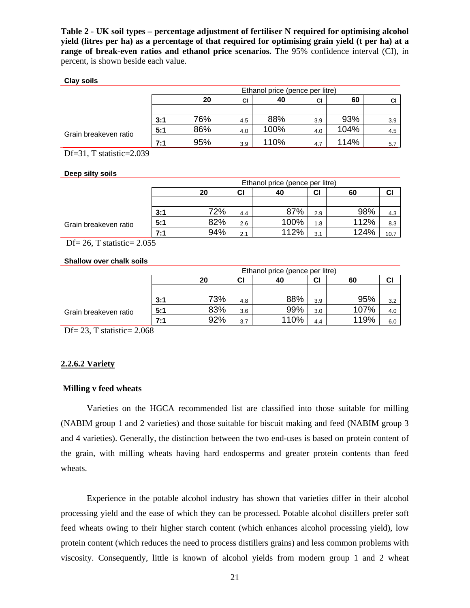**Table 2 - UK soil types – percentage adjustment of fertiliser N required for optimising alcohol yield (litres per ha) as a percentage of that required for optimising grain yield (t per ha) at a range of break-even ratios and ethanol price scenarios.** The 95% confidence interval (CI), in percent, is shown beside each value.

### **Clay soils**

|                       |     | Ethanol price (pence per litre)<br>20<br>40<br>60<br>СI<br>СI<br>СI<br>76%<br>93%<br>88%<br>3:1<br>3.9<br>4.5<br>3.9 |     |      |     |      |     |  |  |  |  |  |  |
|-----------------------|-----|----------------------------------------------------------------------------------------------------------------------|-----|------|-----|------|-----|--|--|--|--|--|--|
|                       |     |                                                                                                                      |     |      |     |      |     |  |  |  |  |  |  |
|                       |     |                                                                                                                      |     |      |     |      |     |  |  |  |  |  |  |
|                       |     |                                                                                                                      |     |      |     |      |     |  |  |  |  |  |  |
|                       | 5:1 | 86%                                                                                                                  | 4.0 | 100% | 4.0 | 104% | 4.5 |  |  |  |  |  |  |
| Grain breakeven ratio | 7:1 | 95%                                                                                                                  | 3.9 | 110% | 4.7 | 114% | 5.7 |  |  |  |  |  |  |

Df=31, T statistic=2.039

## **Deep silty soils**

|                       |     |     |     | Ethanol price (pence per litre) |     |      |      |
|-----------------------|-----|-----|-----|---------------------------------|-----|------|------|
|                       |     | 20  | CI  | 40                              | СI  | 60   | СI   |
|                       |     |     |     |                                 |     |      |      |
|                       | 3:1 | 72% | 4.4 | 87%                             | 2.9 | 98%  | 4.3  |
| Grain breakeven ratio | 5:1 | 82% | 2.6 | 100%                            | 1.8 | 112% | 8.3  |
|                       | 7:1 | 94% | 2.1 | 112%                            | 3.1 | 124% | 10.7 |

Df =  $26$ , T statistic =  $2.055$ 

#### **Shallow over chalk soils**

|                       |     |     |                      | Ethanol price (pence per litre) |     |      |     |  |  |  |  |
|-----------------------|-----|-----|----------------------|---------------------------------|-----|------|-----|--|--|--|--|
|                       |     | 20  | СI<br>СI<br>60<br>40 |                                 |     |      |     |  |  |  |  |
|                       |     |     |                      |                                 |     |      |     |  |  |  |  |
|                       | 3:1 | 73% | 4.8                  | 88%                             | 3.9 | 95%  | 3.2 |  |  |  |  |
| Grain breakeven ratio | 5:1 | 83% | 3.6                  | 99%                             | 3.0 | 107% | 4.0 |  |  |  |  |
|                       | 7:1 | 92% | 3.7                  | 110%                            | 4.4 | 119% | 6.0 |  |  |  |  |

Df =  $23$ , T statistic =  $2.068$ 

## **2.2.6.2 Variety**

## **Milling v feed wheats**

Varieties on the HGCA recommended list are classified into those suitable for milling (NABIM group 1 and 2 varieties) and those suitable for biscuit making and feed (NABIM group 3 and 4 varieties). Generally, the distinction between the two end-uses is based on protein content of the grain, with milling wheats having hard endosperms and greater protein contents than feed wheats.

Experience in the potable alcohol industry has shown that varieties differ in their alcohol processing yield and the ease of which they can be processed. Potable alcohol distillers prefer soft feed wheats owing to their higher starch content (which enhances alcohol processing yield), low protein content (which reduces the need to process distillers grains) and less common problems with viscosity. Consequently, little is known of alcohol yields from modern group 1 and 2 wheat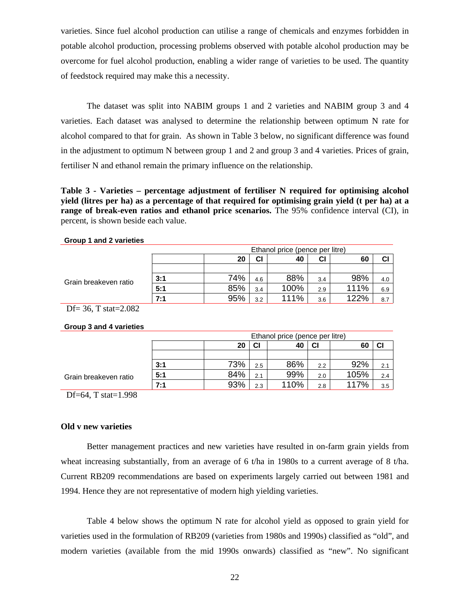varieties. Since fuel alcohol production can utilise a range of chemicals and enzymes forbidden in potable alcohol production, processing problems observed with potable alcohol production may be overcome for fuel alcohol production, enabling a wider range of varieties to be used. The quantity of feedstock required may make this a necessity.

The dataset was split into NABIM groups 1 and 2 varieties and NABIM group 3 and 4 varieties. Each dataset was analysed to determine the relationship between optimum N rate for alcohol compared to that for grain. As shown in Table 3 below, no significant difference was found in the adjustment to optimum N between group 1 and 2 and group 3 and 4 varieties. Prices of grain, fertiliser N and ethanol remain the primary influence on the relationship.

**Table 3 - Varieties – percentage adjustment of fertiliser N required for optimising alcohol yield (litres per ha) as a percentage of that required for optimising grain yield (t per ha) at a range of break-even ratios and ethanol price scenarios.** The 95% confidence interval (CI), in percent, is shown beside each value.

|                       | Ethanol price (pence per litre) |     |     |      |     |      |     |
|-----------------------|---------------------------------|-----|-----|------|-----|------|-----|
|                       |                                 | 60  | СI  |      |     |      |     |
|                       |                                 |     |     |      |     |      |     |
| Grain breakeven ratio | 3:1                             | 74% | 4.6 | 88%  | 3.4 | 98%  | 4.0 |
|                       | 5:1                             | 85% | 3.4 | 100% | 2.9 | 111% | 6.9 |
|                       | 7:1                             | 95% | 3.2 | 111% | 3.6 | 122% | 8.7 |

## **Group 1 and 2 varieties**

Df= 36, T stat=2.082

## **Group 3 and 4 varieties**

|                       | Ethanol price (pence per litre) |                                   |     |      |     |      |     |  |  |
|-----------------------|---------------------------------|-----------------------------------|-----|------|-----|------|-----|--|--|
|                       |                                 | <b>CI</b><br>20<br>40<br>СI<br>60 |     |      |     |      |     |  |  |
|                       |                                 |                                   |     |      |     |      |     |  |  |
|                       | 3:1                             | 73%                               | 2.5 | 86%  | 2.2 | 92%  | 2.1 |  |  |
| Grain breakeven ratio | 5:1                             | 84%                               | 2.1 | 99%  | 2.0 | 105% | 2.4 |  |  |
|                       | 7:1                             | 93%                               | 2.3 | 110% | 2.8 | 117% | 3.5 |  |  |

Df=64, T stat=1.998

## **Old v new varieties**

Better management practices and new varieties have resulted in on-farm grain yields from wheat increasing substantially, from an average of 6 t/ha in 1980s to a current average of 8 t/ha. Current RB209 recommendations are based on experiments largely carried out between 1981 and 1994. Hence they are not representative of modern high yielding varieties.

Table 4 below shows the optimum N rate for alcohol yield as opposed to grain yield for varieties used in the formulation of RB209 (varieties from 1980s and 1990s) classified as "old", and modern varieties (available from the mid 1990s onwards) classified as "new". No significant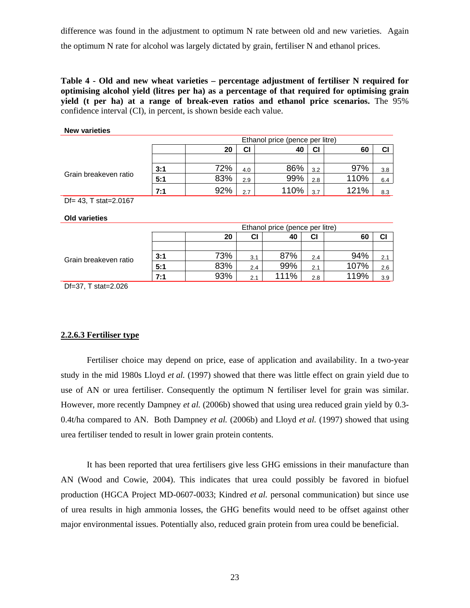difference was found in the adjustment to optimum N rate between old and new varieties. Again the optimum N rate for alcohol was largely dictated by grain, fertiliser N and ethanol prices.

**Table 4 - Old and new wheat varieties – percentage adjustment of fertiliser N required for optimising alcohol yield (litres per ha) as a percentage of that required for optimising grain yield (t per ha) at a range of break-even ratios and ethanol price scenarios.** The 95% confidence interval (CI), in percent, is shown beside each value.

## **New varieties**

|                       | Ethanol price (pence per litre) |                            |     |      |     |      |     |  |  |
|-----------------------|---------------------------------|----------------------------|-----|------|-----|------|-----|--|--|
|                       |                                 | СI<br>СI<br>40<br>20<br>60 |     |      |     |      |     |  |  |
|                       |                                 |                            |     |      |     |      |     |  |  |
| Grain breakeven ratio | 3:1                             | 72%                        | 4.0 | 86%  | 3.2 | 97%  | 3.8 |  |  |
|                       | 5:1                             | 83%                        | 2.9 | 99%  | 2.8 | 110% | 6.4 |  |  |
|                       | 7:1                             | 92%                        | 2.7 | 110% | 3.7 | 121% | 8.3 |  |  |

Df= 43, T stat=2.0167

#### **Old varieties**

|                       |     | Ethanol price (pence per litre) |     |      |     |      |     |  |  |  |
|-----------------------|-----|---------------------------------|-----|------|-----|------|-----|--|--|--|
|                       |     | СI<br>20<br>СI<br>40<br>60      |     |      |     |      |     |  |  |  |
| Grain breakeven ratio |     |                                 |     |      |     |      |     |  |  |  |
|                       | 3:1 | 73%                             | 3.1 | 87%  | 2.4 | 94%  | 2.1 |  |  |  |
|                       | 5:1 | 83%                             | 2.4 | 99%  | 2.1 | 107% | 2.6 |  |  |  |
|                       | 7:1 | 93%                             | 2.1 | 111% | 2.8 | 119% | 3.9 |  |  |  |

Df=37, T stat=2.026

## **2.2.6.3 Fertiliser type**

Fertiliser choice may depend on price, ease of application and availability. In a two-year study in the mid 1980s Lloyd *et al.* (1997) showed that there was little effect on grain yield due to use of AN or urea fertiliser. Consequently the optimum N fertiliser level for grain was similar. However, more recently Dampney *et al.* (2006b) showed that using urea reduced grain yield by 0.3- 0.4t/ha compared to AN. Both Dampney *et al.* (2006b) and Lloyd *et al.* (1997) showed that using urea fertiliser tended to result in lower grain protein contents.

It has been reported that urea fertilisers give less GHG emissions in their manufacture than AN (Wood and Cowie, 2004). This indicates that urea could possibly be favored in biofuel production (HGCA Project MD-0607-0033; Kindred *et al.* personal communication) but since use of urea results in high ammonia losses, the GHG benefits would need to be offset against other major environmental issues. Potentially also, reduced grain protein from urea could be beneficial.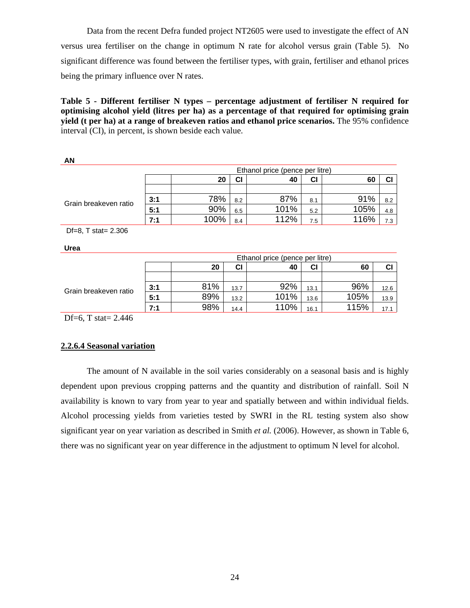Data from the recent Defra funded project NT2605 were used to investigate the effect of AN versus urea fertiliser on the change in optimum N rate for alcohol versus grain (Table 5). No significant difference was found between the fertiliser types, with grain, fertiliser and ethanol prices being the primary influence over N rates.

**Table 5 - Different fertiliser N types – percentage adjustment of fertiliser N required for optimising alcohol yield (litres per ha) as a percentage of that required for optimising grain yield (t per ha) at a range of breakeven ratios and ethanol price scenarios.** The 95% confidence interval (CI), in percent, is shown beside each value.

|                       | Ethanol price (pence per litre) |      |     |      |     |      |     |  |  |
|-----------------------|---------------------------------|------|-----|------|-----|------|-----|--|--|
|                       |                                 | 20   | СI  | 40   | CI  | 60   | CI  |  |  |
| Grain breakeven ratio |                                 |      |     |      |     |      |     |  |  |
|                       | 3:1                             | 78%  | 8.2 | 87%  | 8.1 | 91%  | 8.2 |  |  |
|                       | 5:1                             | 90%  | 6.5 | 101% | 5.2 | 105% | 4.8 |  |  |
|                       | 7:1                             | 100% | 8.4 | 112% | 7.5 | 116% | 7.3 |  |  |

Df=8, T stat= 2.306

**Urea**

**AN** 

|                       | Ethanol price (pence per litre) |                            |      |      |      |      |      |  |  |  |
|-----------------------|---------------------------------|----------------------------|------|------|------|------|------|--|--|--|
|                       |                                 | СI<br>CI<br>20<br>40<br>60 |      |      |      |      |      |  |  |  |
| Grain breakeven ratio |                                 |                            |      |      |      |      |      |  |  |  |
|                       | 3:1                             | 81%                        | 13.7 | 92%  | 13.1 | 96%  | 12.6 |  |  |  |
|                       | 5:1                             | 89%                        | 13.2 | 101% | 13.6 | 105% | 13.9 |  |  |  |
|                       | 7:1                             | 98%                        | 14.4 | 110% | 16.1 | 115% | 17.1 |  |  |  |

Df=6, T stat= 2.446

## **2.2.6.4 Seasonal variation**

The amount of N available in the soil varies considerably on a seasonal basis and is highly dependent upon previous cropping patterns and the quantity and distribution of rainfall. Soil N availability is known to vary from year to year and spatially between and within individual fields. Alcohol processing yields from varieties tested by SWRI in the RL testing system also show significant year on year variation as described in Smith *et al.* (2006). However, as shown in Table 6, there was no significant year on year difference in the adjustment to optimum N level for alcohol.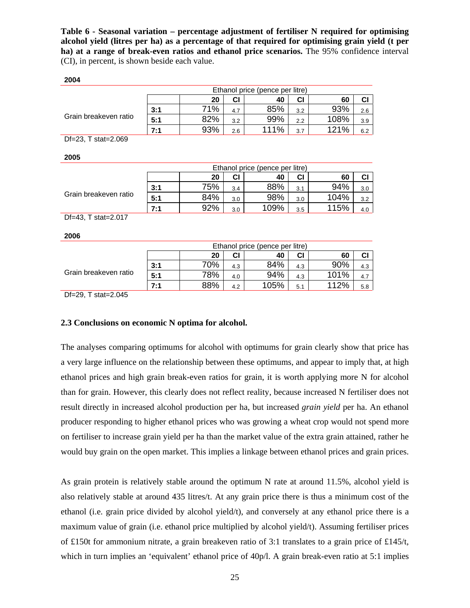**Table 6 - Seasonal variation – percentage adjustment of fertiliser N required for optimising alcohol yield (litres per ha) as a percentage of that required for optimising grain yield (t per ha) at a range of break-even ratios and ethanol price scenarios.** The 95% confidence interval (CI), in percent, is shown beside each value.

## **2004**

|                       | Ethanol price (pence per litre) |     |     |      |     |      |     |  |  |
|-----------------------|---------------------------------|-----|-----|------|-----|------|-----|--|--|
|                       |                                 | 20  | СI  | 40   | CI  | 60   | СI  |  |  |
| Grain breakeven ratio | 3:1                             | 71% | 4.7 | 85%  | 3.2 | 93%  | 2.6 |  |  |
|                       | 5:1                             | 82% | 3.2 | 99%  | 2.2 | 108% | 3.9 |  |  |
|                       | 7:1                             | 93% | 2.6 | 111% | 3.7 | 121% | 6.2 |  |  |

Df=23, T stat=2.069

**2005**

|                       |     | Ethanol price (pence per litre) |     |      |     |      |     |
|-----------------------|-----|---------------------------------|-----|------|-----|------|-----|
|                       |     | 20                              | CI  | 40   | СI  | 60   |     |
| Grain breakeven ratio | 3:1 | 75%                             | 3.4 | 88%  | 3.1 | 94%  | 3.0 |
|                       | 5:1 | 84%                             | 3.0 | 98%  | 3.0 | 104% | 3.2 |
|                       | 7:1 | 92%                             | 3.0 | 109% | 3.5 | 115% | 4.0 |

Df=43, T stat=2.017

**2006**

|                       | Ethanol price (pence per litre) |     |     |      |     |      |     |
|-----------------------|---------------------------------|-----|-----|------|-----|------|-----|
|                       |                                 | 20  | CI  | 40   | CI  | 60   |     |
| Grain breakeven ratio | 3:1                             | 70% | 4.3 | 84%  | 4.3 | 90%  | 4.3 |
|                       | 5:1                             | 78% | 4.0 | 94%  | 4.3 | 101% | 4.7 |
|                       | 7:1                             | 88% | 4.2 | 105% | 5.1 | 112% | 5.8 |
| _ _<br>- - - -        |                                 |     |     |      |     |      |     |

Df=29, T stat=2.045

## **2.3 Conclusions on economic N optima for alcohol.**

The analyses comparing optimums for alcohol with optimums for grain clearly show that price has a very large influence on the relationship between these optimums, and appear to imply that, at high ethanol prices and high grain break-even ratios for grain, it is worth applying more N for alcohol than for grain. However, this clearly does not reflect reality, because increased N fertiliser does not result directly in increased alcohol production per ha, but increased *grain yield* per ha. An ethanol producer responding to higher ethanol prices who was growing a wheat crop would not spend more on fertiliser to increase grain yield per ha than the market value of the extra grain attained, rather he would buy grain on the open market. This implies a linkage between ethanol prices and grain prices.

As grain protein is relatively stable around the optimum N rate at around 11.5%, alcohol yield is also relatively stable at around 435 litres/t. At any grain price there is thus a minimum cost of the ethanol (i.e. grain price divided by alcohol yield/t), and conversely at any ethanol price there is a maximum value of grain (i.e. ethanol price multiplied by alcohol yield/t). Assuming fertiliser prices of £150t for ammonium nitrate, a grain breakeven ratio of 3:1 translates to a grain price of £145/t, which in turn implies an 'equivalent' ethanol price of 40p/l. A grain break-even ratio at 5:1 implies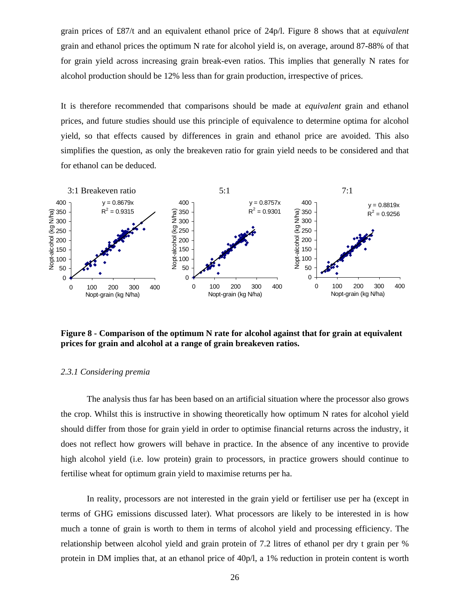grain prices of £87/t and an equivalent ethanol price of 24p/l. Figure 8 shows that at *equivalent*  grain and ethanol prices the optimum N rate for alcohol yield is, on average, around 87-88% of that for grain yield across increasing grain break-even ratios. This implies that generally N rates for alcohol production should be 12% less than for grain production, irrespective of prices.

It is therefore recommended that comparisons should be made at *equivalent* grain and ethanol prices, and future studies should use this principle of equivalence to determine optima for alcohol yield, so that effects caused by differences in grain and ethanol price are avoided. This also simplifies the question, as only the breakeven ratio for grain yield needs to be considered and that for ethanol can be deduced.



**Figure 8 - Comparison of the optimum N rate for alcohol against that for grain at equivalent prices for grain and alcohol at a range of grain breakeven ratios.** 

## *2.3.1 Considering premia*

The analysis thus far has been based on an artificial situation where the processor also grows the crop. Whilst this is instructive in showing theoretically how optimum N rates for alcohol yield should differ from those for grain yield in order to optimise financial returns across the industry, it does not reflect how growers will behave in practice. In the absence of any incentive to provide high alcohol yield (i.e. low protein) grain to processors, in practice growers should continue to fertilise wheat for optimum grain yield to maximise returns per ha.

In reality, processors are not interested in the grain yield or fertiliser use per ha (except in terms of GHG emissions discussed later). What processors are likely to be interested in is how much a tonne of grain is worth to them in terms of alcohol yield and processing efficiency. The relationship between alcohol yield and grain protein of 7.2 litres of ethanol per dry t grain per % protein in DM implies that, at an ethanol price of 40p/l, a 1% reduction in protein content is worth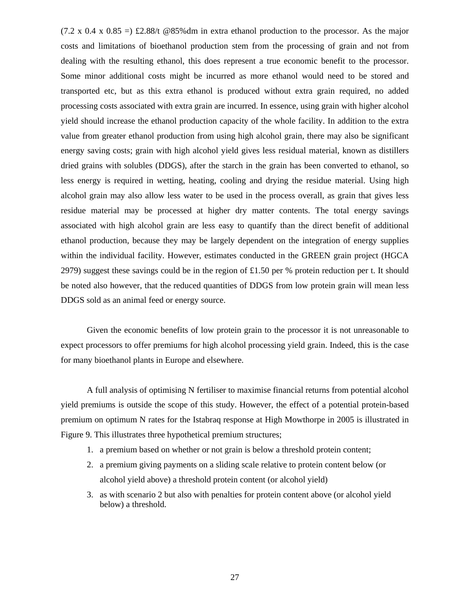$(7.2 \times 0.4 \times 0.85) = \pm 2.88$ /t @85%dm in extra ethanol production to the processor. As the major costs and limitations of bioethanol production stem from the processing of grain and not from dealing with the resulting ethanol, this does represent a true economic benefit to the processor. Some minor additional costs might be incurred as more ethanol would need to be stored and transported etc, but as this extra ethanol is produced without extra grain required, no added processing costs associated with extra grain are incurred. In essence, using grain with higher alcohol yield should increase the ethanol production capacity of the whole facility. In addition to the extra value from greater ethanol production from using high alcohol grain, there may also be significant energy saving costs; grain with high alcohol yield gives less residual material, known as distillers dried grains with solubles (DDGS), after the starch in the grain has been converted to ethanol, so less energy is required in wetting, heating, cooling and drying the residue material. Using high alcohol grain may also allow less water to be used in the process overall, as grain that gives less residue material may be processed at higher dry matter contents. The total energy savings associated with high alcohol grain are less easy to quantify than the direct benefit of additional ethanol production, because they may be largely dependent on the integration of energy supplies within the individual facility. However, estimates conducted in the GREEN grain project (HGCA 2979) suggest these savings could be in the region of £1.50 per % protein reduction per t. It should be noted also however, that the reduced quantities of DDGS from low protein grain will mean less DDGS sold as an animal feed or energy source.

Given the economic benefits of low protein grain to the processor it is not unreasonable to expect processors to offer premiums for high alcohol processing yield grain. Indeed, this is the case for many bioethanol plants in Europe and elsewhere.

A full analysis of optimising N fertiliser to maximise financial returns from potential alcohol yield premiums is outside the scope of this study. However, the effect of a potential protein-based premium on optimum N rates for the Istabraq response at High Mowthorpe in 2005 is illustrated in Figure 9. This illustrates three hypothetical premium structures;

- 1. a premium based on whether or not grain is below a threshold protein content;
- 2. a premium giving payments on a sliding scale relative to protein content below (or alcohol yield above) a threshold protein content (or alcohol yield)
- 3. as with scenario 2 but also with penalties for protein content above (or alcohol yield below) a threshold.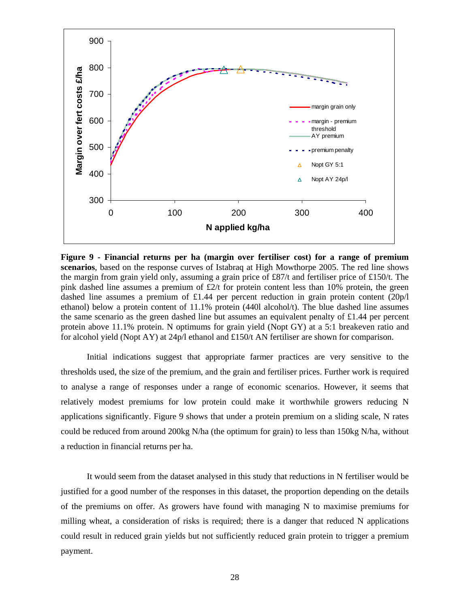

**Figure 9 - Financial returns per ha (margin over fertiliser cost) for a range of premium scenarios**, based on the response curves of Istabraq at High Mowthorpe 2005. The red line shows the margin from grain yield only, assuming a grain price of £87/t and fertiliser price of £150/t. The pink dashed line assumes a premium of  $\text{\pounds}2/\text{t}$  for protein content less than 10% protein, the green dashed line assumes a premium of £1.44 per percent reduction in grain protein content (20p/l ethanol) below a protein content of 11.1% protein (440l alcohol/t). The blue dashed line assumes the same scenario as the green dashed line but assumes an equivalent penalty of £1.44 per percent protein above 11.1% protein. N optimums for grain yield (Nopt GY) at a 5:1 breakeven ratio and for alcohol yield (Nopt AY) at 24p/l ethanol and £150/t AN fertiliser are shown for comparison.

Initial indications suggest that appropriate farmer practices are very sensitive to the thresholds used, the size of the premium, and the grain and fertiliser prices. Further work is required to analyse a range of responses under a range of economic scenarios. However, it seems that relatively modest premiums for low protein could make it worthwhile growers reducing N applications significantly. Figure 9 shows that under a protein premium on a sliding scale, N rates could be reduced from around 200kg N/ha (the optimum for grain) to less than 150kg N/ha, without a reduction in financial returns per ha.

It would seem from the dataset analysed in this study that reductions in N fertiliser would be justified for a good number of the responses in this dataset, the proportion depending on the details of the premiums on offer. As growers have found with managing N to maximise premiums for milling wheat, a consideration of risks is required; there is a danger that reduced N applications could result in reduced grain yields but not sufficiently reduced grain protein to trigger a premium payment.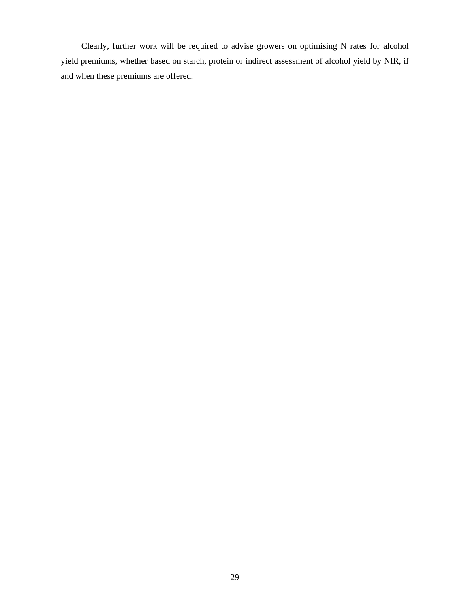Clearly, further work will be required to advise growers on optimising N rates for alcohol yield premiums, whether based on starch, protein or indirect assessment of alcohol yield by NIR, if and when these premiums are offered.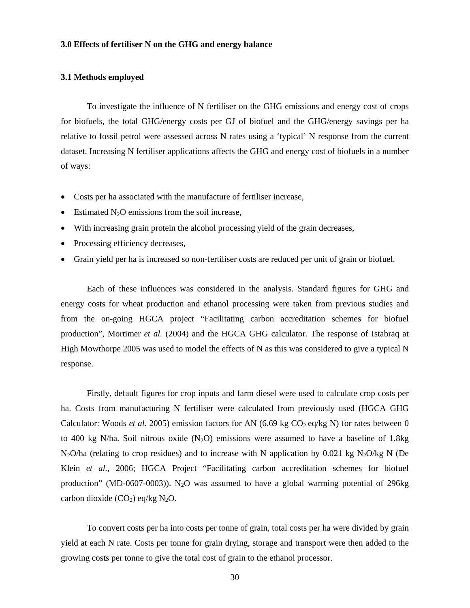## **3.0 Effects of fertiliser N on the GHG and energy balance**

## **3.1 Methods employed**

To investigate the influence of N fertiliser on the GHG emissions and energy cost of crops for biofuels, the total GHG/energy costs per GJ of biofuel and the GHG/energy savings per ha relative to fossil petrol were assessed across N rates using a 'typical' N response from the current dataset. Increasing N fertiliser applications affects the GHG and energy cost of biofuels in a number of ways:

- Costs per ha associated with the manufacture of fertiliser increase,
- Estimated  $N_2O$  emissions from the soil increase,
- With increasing grain protein the alcohol processing yield of the grain decreases,
- Processing efficiency decreases,
- Grain yield per ha is increased so non-fertiliser costs are reduced per unit of grain or biofuel.

Each of these influences was considered in the analysis. Standard figures for GHG and energy costs for wheat production and ethanol processing were taken from previous studies and from the on-going HGCA project "Facilitating carbon accreditation schemes for biofuel production", Mortimer *et al.* (2004) and the HGCA GHG calculator. The response of Istabraq at High Mowthorpe 2005 was used to model the effects of N as this was considered to give a typical N response.

Firstly, default figures for crop inputs and farm diesel were used to calculate crop costs per ha. Costs from manufacturing N fertiliser were calculated from previously used (HGCA GHG Calculator: Woods *et al.* 2005) emission factors for AN  $(6.69 \text{ kg CO}_2 \text{ eq/kg N})$  for rates between 0 to 400 kg N/ha. Soil nitrous oxide  $(N_2O)$  emissions were assumed to have a baseline of 1.8kg  $N_2O/ha$  (relating to crop residues) and to increase with N application by 0.021 kg  $N_2O/kg$  N (De Klein *et al.,* 2006; HGCA Project "Facilitating carbon accreditation schemes for biofuel production" (MD-0607-0003)). N<sub>2</sub>O was assumed to have a global warming potential of 296kg carbon dioxide  $(CO_2)$  eq/kg N<sub>2</sub>O.

To convert costs per ha into costs per tonne of grain, total costs per ha were divided by grain yield at each N rate. Costs per tonne for grain drying, storage and transport were then added to the growing costs per tonne to give the total cost of grain to the ethanol processor.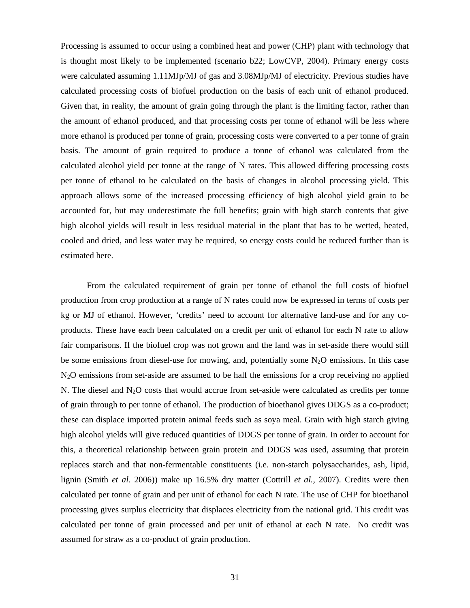Processing is assumed to occur using a combined heat and power (CHP) plant with technology that is thought most likely to be implemented (scenario b22; LowCVP*,* 2004). Primary energy costs were calculated assuming 1.11MJp/MJ of gas and 3.08MJp/MJ of electricity. Previous studies have calculated processing costs of biofuel production on the basis of each unit of ethanol produced. Given that, in reality, the amount of grain going through the plant is the limiting factor, rather than the amount of ethanol produced, and that processing costs per tonne of ethanol will be less where more ethanol is produced per tonne of grain, processing costs were converted to a per tonne of grain basis. The amount of grain required to produce a tonne of ethanol was calculated from the calculated alcohol yield per tonne at the range of N rates. This allowed differing processing costs per tonne of ethanol to be calculated on the basis of changes in alcohol processing yield. This approach allows some of the increased processing efficiency of high alcohol yield grain to be accounted for, but may underestimate the full benefits; grain with high starch contents that give high alcohol yields will result in less residual material in the plant that has to be wetted, heated, cooled and dried, and less water may be required, so energy costs could be reduced further than is estimated here.

From the calculated requirement of grain per tonne of ethanol the full costs of biofuel production from crop production at a range of N rates could now be expressed in terms of costs per kg or MJ of ethanol. However, 'credits' need to account for alternative land-use and for any coproducts. These have each been calculated on a credit per unit of ethanol for each N rate to allow fair comparisons. If the biofuel crop was not grown and the land was in set-aside there would still be some emissions from diesel-use for mowing, and, potentially some  $N_2O$  emissions. In this case N2O emissions from set-aside are assumed to be half the emissions for a crop receiving no applied N. The diesel and  $N_2O$  costs that would accrue from set-aside were calculated as credits per tonne of grain through to per tonne of ethanol. The production of bioethanol gives DDGS as a co-product; these can displace imported protein animal feeds such as soya meal. Grain with high starch giving high alcohol yields will give reduced quantities of DDGS per tonne of grain. In order to account for this, a theoretical relationship between grain protein and DDGS was used, assuming that protein replaces starch and that non-fermentable constituents (i.e. non-starch polysaccharides, ash, lipid, lignin (Smith *et al.* 2006)) make up 16.5% dry matter (Cottrill *et al.,* 2007). Credits were then calculated per tonne of grain and per unit of ethanol for each N rate. The use of CHP for bioethanol processing gives surplus electricity that displaces electricity from the national grid. This credit was calculated per tonne of grain processed and per unit of ethanol at each N rate. No credit was assumed for straw as a co-product of grain production.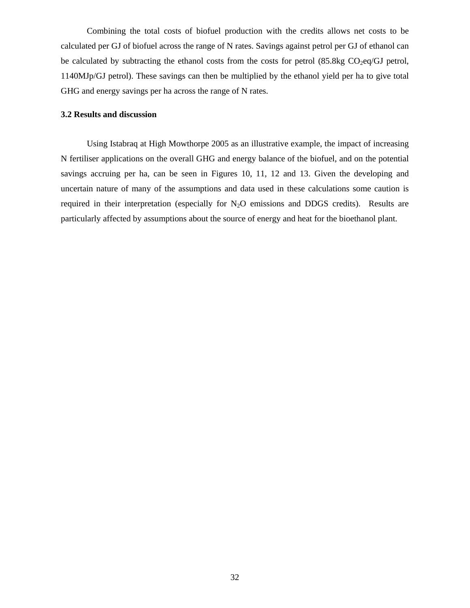Combining the total costs of biofuel production with the credits allows net costs to be calculated per GJ of biofuel across the range of N rates. Savings against petrol per GJ of ethanol can be calculated by subtracting the ethanol costs from the costs for petrol  $(85.8kg CO<sub>2</sub>eq/GJ$  petrol, 1140MJp/GJ petrol). These savings can then be multiplied by the ethanol yield per ha to give total GHG and energy savings per ha across the range of N rates.

## **3.2 Results and discussion**

Using Istabraq at High Mowthorpe 2005 as an illustrative example, the impact of increasing N fertiliser applications on the overall GHG and energy balance of the biofuel, and on the potential savings accruing per ha, can be seen in Figures 10, 11, 12 and 13. Given the developing and uncertain nature of many of the assumptions and data used in these calculations some caution is required in their interpretation (especially for  $N_2O$  emissions and DDGS credits). Results are particularly affected by assumptions about the source of energy and heat for the bioethanol plant.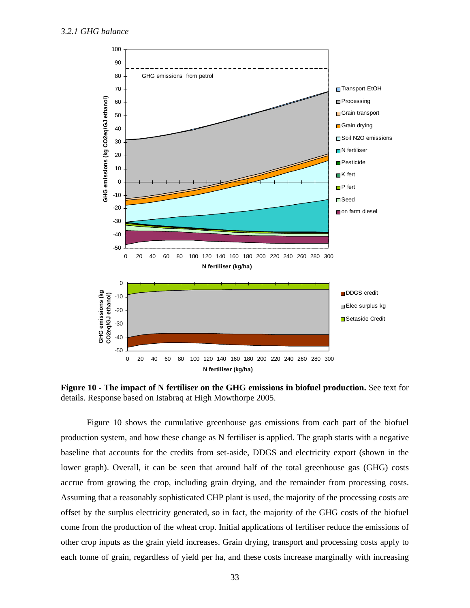

**Figure 10 - The impact of N fertiliser on the GHG emissions in biofuel production.** See text for details. Response based on Istabraq at High Mowthorpe 2005.

Figure 10 shows the cumulative greenhouse gas emissions from each part of the biofuel production system, and how these change as N fertiliser is applied. The graph starts with a negative baseline that accounts for the credits from set-aside, DDGS and electricity export (shown in the lower graph). Overall, it can be seen that around half of the total greenhouse gas (GHG) costs accrue from growing the crop, including grain drying, and the remainder from processing costs. Assuming that a reasonably sophisticated CHP plant is used, the majority of the processing costs are offset by the surplus electricity generated, so in fact, the majority of the GHG costs of the biofuel come from the production of the wheat crop. Initial applications of fertiliser reduce the emissions of other crop inputs as the grain yield increases. Grain drying, transport and processing costs apply to each tonne of grain, regardless of yield per ha, and these costs increase marginally with increasing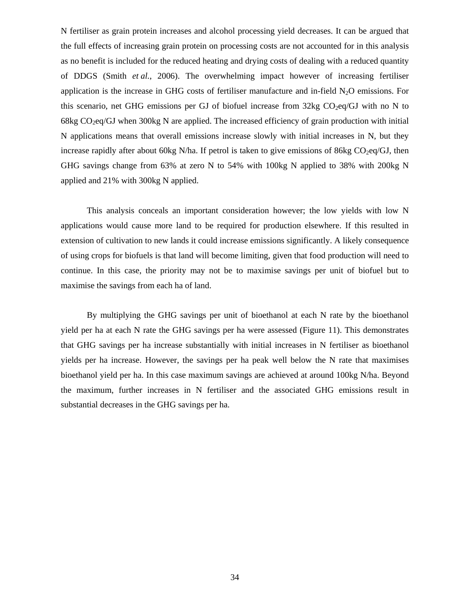N fertiliser as grain protein increases and alcohol processing yield decreases. It can be argued that the full effects of increasing grain protein on processing costs are not accounted for in this analysis as no benefit is included for the reduced heating and drying costs of dealing with a reduced quantity of DDGS (Smith *et al.*, 2006). The overwhelming impact however of increasing fertiliser application is the increase in GHG costs of fertiliser manufacture and in-field  $N_2O$  emissions. For this scenario, net GHG emissions per GJ of biofuel increase from  $32kg$  CO<sub>2</sub>eq/GJ with no N to 68kg  $CO<sub>2</sub>$ eq/GJ when 300kg N are applied. The increased efficiency of grain production with initial N applications means that overall emissions increase slowly with initial increases in N, but they increase rapidly after about 60kg N/ha. If petrol is taken to give emissions of 86kg  $CO_2$ eq/GJ, then GHG savings change from 63% at zero N to 54% with 100kg N applied to 38% with 200kg N applied and 21% with 300kg N applied.

This analysis conceals an important consideration however; the low yields with low N applications would cause more land to be required for production elsewhere. If this resulted in extension of cultivation to new lands it could increase emissions significantly. A likely consequence of using crops for biofuels is that land will become limiting, given that food production will need to continue. In this case, the priority may not be to maximise savings per unit of biofuel but to maximise the savings from each ha of land.

By multiplying the GHG savings per unit of bioethanol at each N rate by the bioethanol yield per ha at each N rate the GHG savings per ha were assessed (Figure 11). This demonstrates that GHG savings per ha increase substantially with initial increases in N fertiliser as bioethanol yields per ha increase. However, the savings per ha peak well below the N rate that maximises bioethanol yield per ha. In this case maximum savings are achieved at around 100kg N/ha. Beyond the maximum, further increases in N fertiliser and the associated GHG emissions result in substantial decreases in the GHG savings per ha.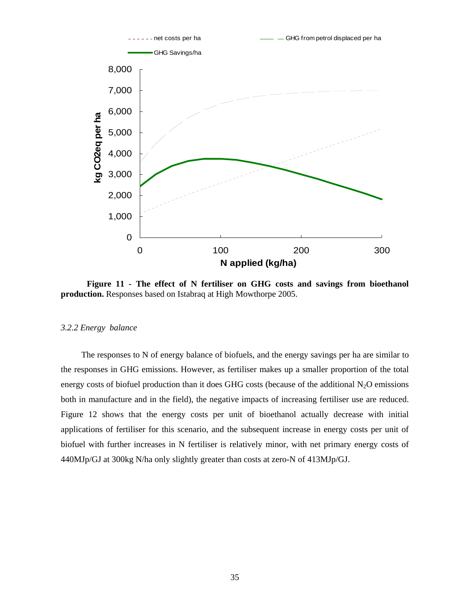

**Figure 11 - The effect of N fertiliser on GHG costs and savings from bioethanol production.** Responses based on Istabraq at High Mowthorpe 2005.

#### *3.2.2 Energy balance*

The responses to N of energy balance of biofuels, and the energy savings per ha are similar to the responses in GHG emissions. However, as fertiliser makes up a smaller proportion of the total energy costs of biofuel production than it does GHG costs (because of the additional  $N_2O$  emissions both in manufacture and in the field), the negative impacts of increasing fertiliser use are reduced. Figure 12 shows that the energy costs per unit of bioethanol actually decrease with initial applications of fertiliser for this scenario, and the subsequent increase in energy costs per unit of biofuel with further increases in N fertiliser is relatively minor, with net primary energy costs of 440MJp/GJ at 300kg N/ha only slightly greater than costs at zero-N of 413MJp/GJ.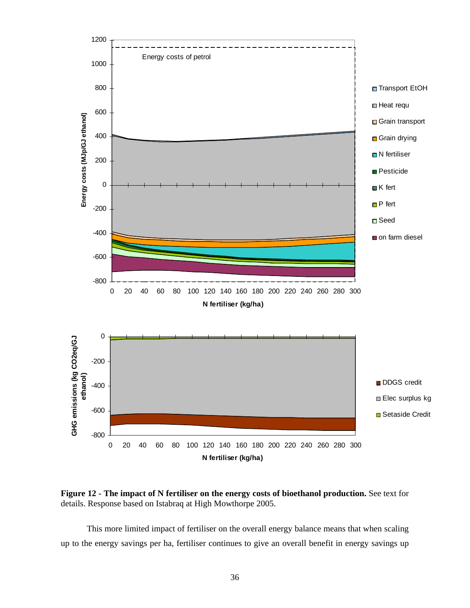

**Figure 12 - The impact of N fertiliser on the energy costs of bioethanol production. See text for** details. Response based on Istabraq at High Mowthorpe 2005.

This more limited impact of fertiliser on the overall energy balance means that when scaling up to the energy savings per ha, fertiliser continues to give an overall benefit in energy savings up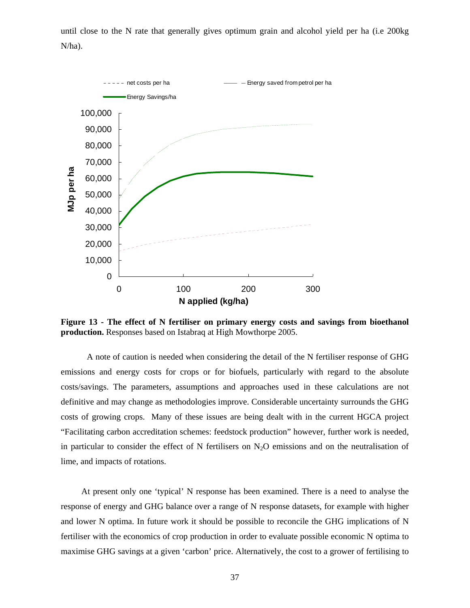until close to the N rate that generally gives optimum grain and alcohol yield per ha (i.e 200kg N/ha).



**Figure 13 - The effect of N fertiliser on primary energy costs and savings from bioethanol production.** Responses based on Istabraq at High Mowthorpe 2005.

A note of caution is needed when considering the detail of the N fertiliser response of GHG emissions and energy costs for crops or for biofuels, particularly with regard to the absolute costs/savings. The parameters, assumptions and approaches used in these calculations are not definitive and may change as methodologies improve. Considerable uncertainty surrounds the GHG costs of growing crops. Many of these issues are being dealt with in the current HGCA project "Facilitating carbon accreditation schemes: feedstock production" however, further work is needed, in particular to consider the effect of N fertilisers on  $N_2O$  emissions and on the neutralisation of lime, and impacts of rotations.

At present only one 'typical' N response has been examined. There is a need to analyse the response of energy and GHG balance over a range of N response datasets, for example with higher and lower N optima. In future work it should be possible to reconcile the GHG implications of N fertiliser with the economics of crop production in order to evaluate possible economic N optima to maximise GHG savings at a given 'carbon' price. Alternatively, the cost to a grower of fertilising to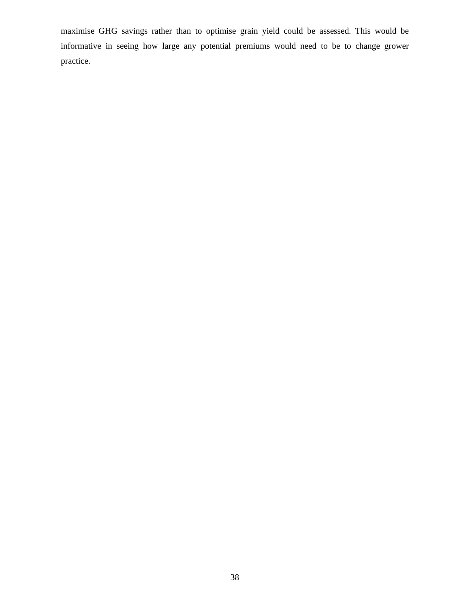maximise GHG savings rather than to optimise grain yield could be assessed. This would be informative in seeing how large any potential premiums would need to be to change grower practice.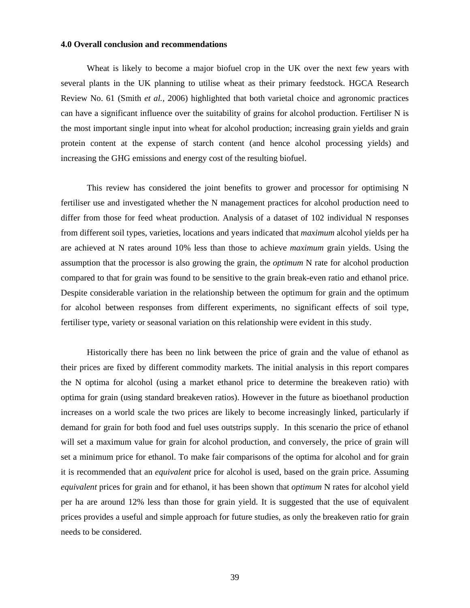#### **4.0 Overall conclusion and recommendations**

Wheat is likely to become a major biofuel crop in the UK over the next few years with several plants in the UK planning to utilise wheat as their primary feedstock. HGCA Research Review No. 61 (Smith *et al.,* 2006) highlighted that both varietal choice and agronomic practices can have a significant influence over the suitability of grains for alcohol production. Fertiliser N is the most important single input into wheat for alcohol production; increasing grain yields and grain protein content at the expense of starch content (and hence alcohol processing yields) and increasing the GHG emissions and energy cost of the resulting biofuel.

This review has considered the joint benefits to grower and processor for optimising N fertiliser use and investigated whether the N management practices for alcohol production need to differ from those for feed wheat production. Analysis of a dataset of 102 individual N responses from different soil types, varieties, locations and years indicated that *maximum* alcohol yields per ha are achieved at N rates around 10% less than those to achieve *maximum* grain yields. Using the assumption that the processor is also growing the grain, the *optimum* N rate for alcohol production compared to that for grain was found to be sensitive to the grain break-even ratio and ethanol price. Despite considerable variation in the relationship between the optimum for grain and the optimum for alcohol between responses from different experiments, no significant effects of soil type, fertiliser type, variety or seasonal variation on this relationship were evident in this study.

Historically there has been no link between the price of grain and the value of ethanol as their prices are fixed by different commodity markets. The initial analysis in this report compares the N optima for alcohol (using a market ethanol price to determine the breakeven ratio) with optima for grain (using standard breakeven ratios). However in the future as bioethanol production increases on a world scale the two prices are likely to become increasingly linked, particularly if demand for grain for both food and fuel uses outstrips supply. In this scenario the price of ethanol will set a maximum value for grain for alcohol production, and conversely, the price of grain will set a minimum price for ethanol. To make fair comparisons of the optima for alcohol and for grain it is recommended that an *equivalent* price for alcohol is used, based on the grain price. Assuming *equivalent* prices for grain and for ethanol, it has been shown that *optimum* N rates for alcohol yield per ha are around 12% less than those for grain yield. It is suggested that the use of equivalent prices provides a useful and simple approach for future studies, as only the breakeven ratio for grain needs to be considered.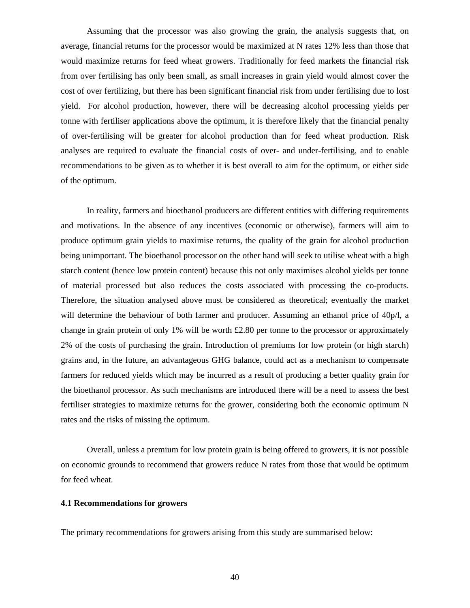Assuming that the processor was also growing the grain, the analysis suggests that, on average, financial returns for the processor would be maximized at N rates 12% less than those that would maximize returns for feed wheat growers. Traditionally for feed markets the financial risk from over fertilising has only been small, as small increases in grain yield would almost cover the cost of over fertilizing, but there has been significant financial risk from under fertilising due to lost yield. For alcohol production, however, there will be decreasing alcohol processing yields per tonne with fertiliser applications above the optimum, it is therefore likely that the financial penalty of over-fertilising will be greater for alcohol production than for feed wheat production. Risk analyses are required to evaluate the financial costs of over- and under-fertilising, and to enable recommendations to be given as to whether it is best overall to aim for the optimum, or either side of the optimum.

In reality, farmers and bioethanol producers are different entities with differing requirements and motivations. In the absence of any incentives (economic or otherwise), farmers will aim to produce optimum grain yields to maximise returns, the quality of the grain for alcohol production being unimportant. The bioethanol processor on the other hand will seek to utilise wheat with a high starch content (hence low protein content) because this not only maximises alcohol yields per tonne of material processed but also reduces the costs associated with processing the co-products. Therefore, the situation analysed above must be considered as theoretical; eventually the market will determine the behaviour of both farmer and producer. Assuming an ethanol price of 40p/l, a change in grain protein of only 1% will be worth £2.80 per tonne to the processor or approximately 2% of the costs of purchasing the grain. Introduction of premiums for low protein (or high starch) grains and, in the future, an advantageous GHG balance, could act as a mechanism to compensate farmers for reduced yields which may be incurred as a result of producing a better quality grain for the bioethanol processor. As such mechanisms are introduced there will be a need to assess the best fertiliser strategies to maximize returns for the grower, considering both the economic optimum N rates and the risks of missing the optimum.

Overall, unless a premium for low protein grain is being offered to growers, it is not possible on economic grounds to recommend that growers reduce N rates from those that would be optimum for feed wheat.

## **4.1 Recommendations for growers**

The primary recommendations for growers arising from this study are summarised below: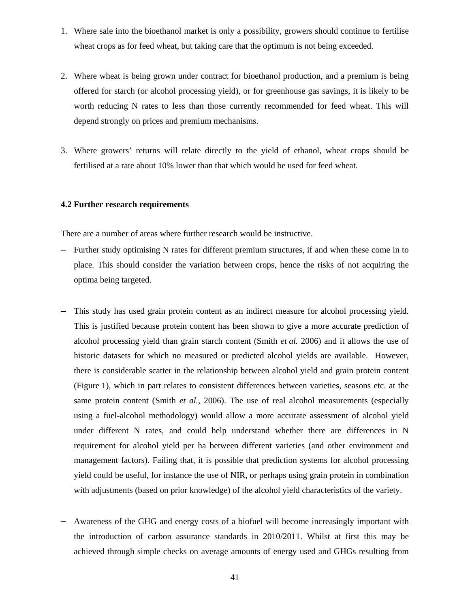- 1. Where sale into the bioethanol market is only a possibility, growers should continue to fertilise wheat crops as for feed wheat, but taking care that the optimum is not being exceeded.
- 2. Where wheat is being grown under contract for bioethanol production, and a premium is being offered for starch (or alcohol processing yield), or for greenhouse gas savings, it is likely to be worth reducing N rates to less than those currently recommended for feed wheat. This will depend strongly on prices and premium mechanisms.
- 3. Where growers' returns will relate directly to the yield of ethanol, wheat crops should be fertilised at a rate about 10% lower than that which would be used for feed wheat.

## **4.2 Further research requirements**

There are a number of areas where further research would be instructive.

- **–** Further study optimising N rates for different premium structures, if and when these come in to place. This should consider the variation between crops, hence the risks of not acquiring the optima being targeted.
- **–** This study has used grain protein content as an indirect measure for alcohol processing yield. This is justified because protein content has been shown to give a more accurate prediction of alcohol processing yield than grain starch content (Smith *et al.* 2006) and it allows the use of historic datasets for which no measured or predicted alcohol yields are available. However, there is considerable scatter in the relationship between alcohol yield and grain protein content (Figure 1), which in part relates to consistent differences between varieties, seasons etc. at the same protein content (Smith *et al.,* 2006). The use of real alcohol measurements (especially using a fuel-alcohol methodology) would allow a more accurate assessment of alcohol yield under different N rates, and could help understand whether there are differences in N requirement for alcohol yield per ha between different varieties (and other environment and management factors). Failing that, it is possible that prediction systems for alcohol processing yield could be useful, for instance the use of NIR, or perhaps using grain protein in combination with adjustments (based on prior knowledge) of the alcohol yield characteristics of the variety.
- **–** Awareness of the GHG and energy costs of a biofuel will become increasingly important with the introduction of carbon assurance standards in 2010/2011. Whilst at first this may be achieved through simple checks on average amounts of energy used and GHGs resulting from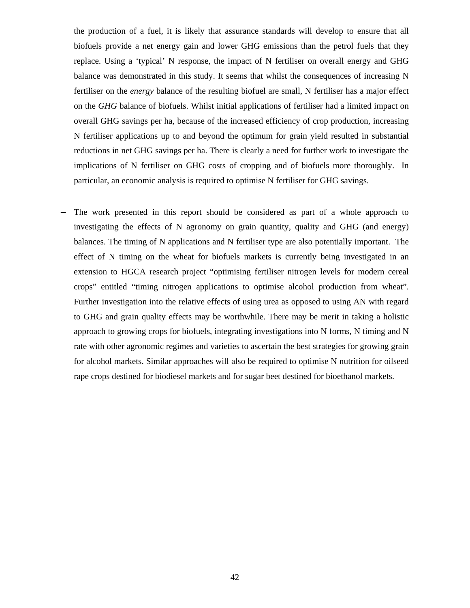the production of a fuel, it is likely that assurance standards will develop to ensure that all biofuels provide a net energy gain and lower GHG emissions than the petrol fuels that they replace. Using a 'typical' N response, the impact of N fertiliser on overall energy and GHG balance was demonstrated in this study. It seems that whilst the consequences of increasing N fertiliser on the *energy* balance of the resulting biofuel are small, N fertiliser has a major effect on the *GHG* balance of biofuels. Whilst initial applications of fertiliser had a limited impact on overall GHG savings per ha, because of the increased efficiency of crop production, increasing N fertiliser applications up to and beyond the optimum for grain yield resulted in substantial reductions in net GHG savings per ha. There is clearly a need for further work to investigate the implications of N fertiliser on GHG costs of cropping and of biofuels more thoroughly. In particular, an economic analysis is required to optimise N fertiliser for GHG savings.

**–** The work presented in this report should be considered as part of a whole approach to investigating the effects of N agronomy on grain quantity, quality and GHG (and energy) balances. The timing of N applications and N fertiliser type are also potentially important. The effect of N timing on the wheat for biofuels markets is currently being investigated in an extension to HGCA research project "optimising fertiliser nitrogen levels for modern cereal crops" entitled "timing nitrogen applications to optimise alcohol production from wheat". Further investigation into the relative effects of using urea as opposed to using AN with regard to GHG and grain quality effects may be worthwhile. There may be merit in taking a holistic approach to growing crops for biofuels, integrating investigations into N forms, N timing and N rate with other agronomic regimes and varieties to ascertain the best strategies for growing grain for alcohol markets. Similar approaches will also be required to optimise N nutrition for oilseed rape crops destined for biodiesel markets and for sugar beet destined for bioethanol markets.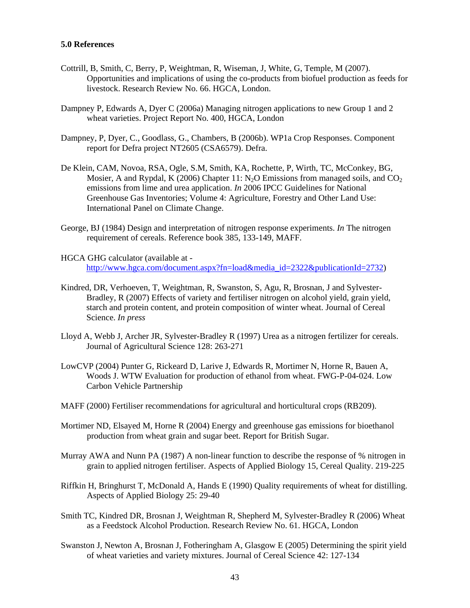## **5.0 References**

- Cottrill, B, Smith, C, Berry, P, Weightman, R, Wiseman, J, White, G, Temple, M (2007). Opportunities and implications of using the co-products from biofuel production as feeds for livestock. Research Review No. 66. HGCA, London.
- Dampney P, Edwards A, Dyer C (2006a) Managing nitrogen applications to new Group 1 and 2 wheat varieties. Project Report No. 400, HGCA, London
- Dampney, P, Dyer, C., Goodlass, G., Chambers, B (2006b). WP1a Crop Responses. Component report for Defra project NT2605 (CSA6579). Defra.
- De Klein, CAM, Novoa, RSA, Ogle, S.M, Smith, KA, Rochette, P, Wirth, TC, McConkey, BG, Mosier, A and Rypdal, K (2006) Chapter 11:  $N<sub>2</sub>O$  Emissions from managed soils, and  $CO<sub>2</sub>$ emissions from lime and urea application. *In* 2006 IPCC Guidelines for National Greenhouse Gas Inventories; Volume 4: Agriculture, Forestry and Other Land Use: International Panel on Climate Change.
- George, BJ (1984) Design and interpretation of nitrogen response experiments. *In* The nitrogen requirement of cereals. Reference book 385, 133-149, MAFF.
- HGCA GHG calculator (available at http://www.hgca.com/document.aspx?fn=load&media\_id=2322&publicationId=2732)
- Kindred, DR, Verhoeven, T, Weightman, R, Swanston, S, Agu, R, Brosnan, J and Sylvester-Bradley, R (2007) Effects of variety and fertiliser nitrogen on alcohol yield, grain yield, starch and protein content, and protein composition of winter wheat. Journal of Cereal Science. *In press*
- Lloyd A, Webb J, Archer JR, Sylvester-Bradley R (1997) Urea as a nitrogen fertilizer for cereals. Journal of Agricultural Science 128: 263-271
- LowCVP (2004) Punter G, Rickeard D, Larive J, Edwards R, Mortimer N, Horne R, Bauen A, Woods J. WTW Evaluation for production of ethanol from wheat. FWG-P-04-024. Low Carbon Vehicle Partnership
- MAFF (2000) Fertiliser recommendations for agricultural and horticultural crops (RB209).
- Mortimer ND, Elsayed M, Horne R (2004) Energy and greenhouse gas emissions for bioethanol production from wheat grain and sugar beet. Report for British Sugar.
- Murray AWA and Nunn PA (1987) A non-linear function to describe the response of % nitrogen in grain to applied nitrogen fertiliser. Aspects of Applied Biology 15, Cereal Quality. 219-225
- Riffkin H, Bringhurst T, McDonald A, Hands E (1990) Quality requirements of wheat for distilling. Aspects of Applied Biology 25: 29-40
- Smith TC, Kindred DR, Brosnan J, Weightman R, Shepherd M, Sylvester-Bradley R (2006) Wheat as a Feedstock Alcohol Production. Research Review No. 61. HGCA, London
- Swanston J, Newton A, Brosnan J, Fotheringham A, Glasgow E (2005) Determining the spirit yield of wheat varieties and variety mixtures. Journal of Cereal Science 42: 127-134